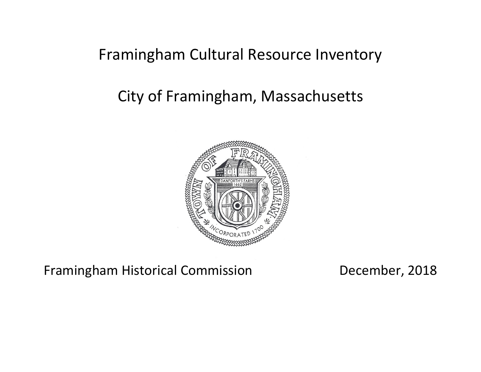# Framingham Cultural Resource Inventory

# City of Framingham, Massachusetts



Framingham Historical Commission December, 2018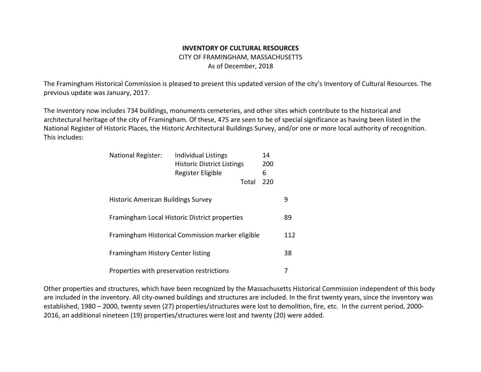## **INVENTORY OF CULTURAL RESOURCES** CITY OF FRAMINGHAM, MASSACHUSETTS As of December, 2018

The Framingham Historical Commission is pleased to present this updated version of the city's Inventory of Cultural Resources. The previous update was January, 2017.

The inventory now includes 734 buildings, monuments cemeteries, and other sites which contribute to the historical and architectural heritage of the city of Framingham. Of these, 475 are seen to be of special significance as having been listed in the National Register of Historic Places, the Historic Architectural Buildings Survey, and/or one or more local authority of recognition. This includes:

| <b>National Register:</b>                 | <b>Individual Listings</b><br><b>Historic District Listings</b><br>Register Eligible |       | 14<br>200<br>6 |     |
|-------------------------------------------|--------------------------------------------------------------------------------------|-------|----------------|-----|
|                                           |                                                                                      | Total | 220            |     |
| <b>Historic American Buildings Survey</b> |                                                                                      |       |                | 9   |
|                                           | Framingham Local Historic District properties                                        |       |                | 89  |
|                                           | Framingham Historical Commission marker eligible                                     |       |                | 112 |
| Framingham History Center listing         |                                                                                      |       |                | 38  |
| Properties with preservation restrictions |                                                                                      |       |                |     |

Other properties and structures, which have been recognized by the Massachusetts Historical Commission independent of this body are included in the inventory. All city-owned buildings and structures are included. In the first twenty years, since the inventory was established, 1980 – 2000, twenty seven (27) properties/structures were lost to demolition, fire, etc. In the current period, 2000- 2016, an additional nineteen (19) properties/structures were lost and twenty (20) were added.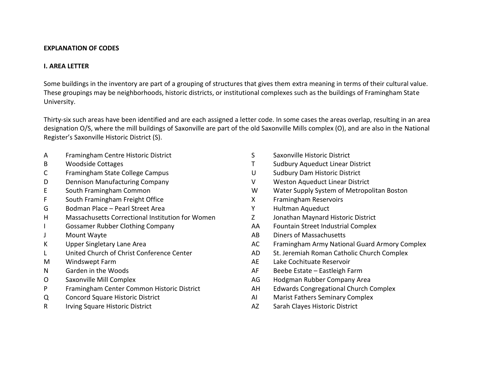#### **EXPLANATION OF CODES**

#### **I. AREA LETTER**

Some buildings in the inventory are part of a grouping of structures that gives them extra meaning in terms of their cultural value. These groupings may be neighborhoods, historic districts, or institutional complexes such as the buildings of Framingham State University.

Thirty-six such areas have been identified and are each assigned a letter code. In some cases the areas overlap, resulting in an area designation O/S, where the mill buildings of Saxonville are part of the old Saxonville Mills complex (O), and are also in the National Register's Saxonville Historic District (S).

- A Framingham Centre Historic District
- B Woodside Cottages
- C Framingham State College Campus
- D Dennison Manufacturing Company
- E South Framingham Common
- F South Framingham Freight Office
- G Bodman Place Pearl Street Area
- H Massachusetts Correctional Institution for Women
- I Gossamer Rubber Clothing Company
- J Mount Wayte
- K Upper Singletary Lane Area
- L United Church of Christ Conference Center
- M Windswept Farm
- N Garden in the Woods
- O Saxonville Mill Complex
- P Framingham Center Common Historic District
- Q Concord Square Historic District
- R Irving Square Historic District
- S Saxonville Historic District
- T Sudbury Aqueduct Linear District
- U Sudbury Dam Historic District
- V Weston Aqueduct Linear District
- W Water Supply System of Metropolitan Boston
- X Framingham Reservoirs
- Y Hultman Aqueduct
- Z Jonathan Maynard Historic District
- AA Fountain Street Industrial Complex
- AB Diners of Massachusetts
- AC Framingham Army National Guard Armory Complex
- AD St. Jeremiah Roman Catholic Church Complex
- AE Lake Cochituate Reservoir
- AF Beebe Estate Eastleigh Farm
- AG Hodgman Rubber Company Area
- AH Edwards Congregational Church Complex
- AI Marist Fathers Seminary Complex
- AZ Sarah Clayes Historic District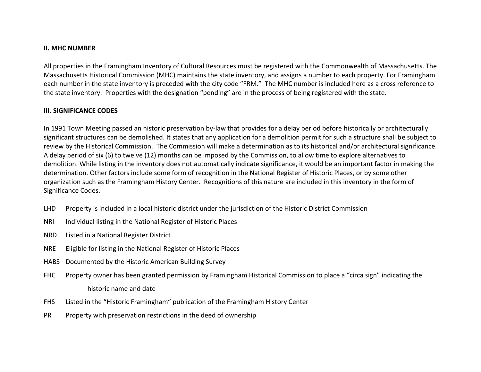#### **II. MHC NUMBER**

All properties in the Framingham Inventory of Cultural Resources must be registered with the Commonwealth of Massachusetts. The Massachusetts Historical Commission (MHC) maintains the state inventory, and assigns a number to each property. For Framingham each number in the state inventory is preceded with the city code "FRM." The MHC number is included here as a cross reference to the state inventory. Properties with the designation "pending" are in the process of being registered with the state.

### **III. SIGNIFICANCE CODES**

In 1991 Town Meeting passed an historic preservation by-law that provides for a delay period before historically or architecturally significant structures can be demolished. It states that any application for a demolition permit for such a structure shall be subject to review by the Historical Commission. The Commission will make a determination as to its historical and/or architectural significance. A delay period of six (6) to twelve (12) months can be imposed by the Commission, to allow time to explore alternatives to demolition. While listing in the inventory does not automatically indicate significance, it would be an important factor in making the determination. Other factors include some form of recognition in the National Register of Historic Places, or by some other organization such as the Framingham History Center. Recognitions of this nature are included in this inventory in the form of Significance Codes.

- LHD Property is included in a local historic district under the jurisdiction of the Historic District Commission
- NRI Individual listing in the National Register of Historic Places
- NRD Listed in a National Register District
- NRE Eligible for listing in the National Register of Historic Places
- HABS Documented by the Historic American Building Survey
- FHC Property owner has been granted permission by Framingham Historical Commission to place a "circa sign" indicating the historic name and date
- FHS Listed in the "Historic Framingham" publication of the Framingham History Center
- PR Property with preservation restrictions in the deed of ownership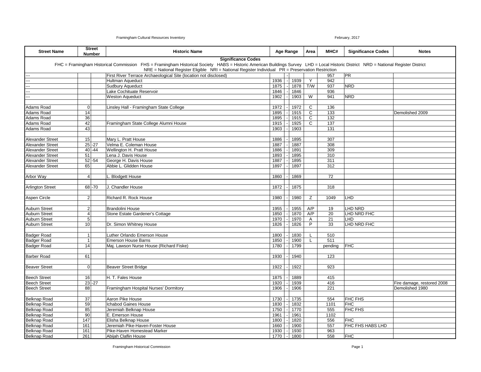| <b>Street Name</b>                                 |                | <b>Street</b><br><b>Number</b> | <b>Historic Name</b>                                                                                                                                                                |              | Age Range      |              | Area | MHC#       | <b>Significance Codes</b> | <b>Notes</b>               |
|----------------------------------------------------|----------------|--------------------------------|-------------------------------------------------------------------------------------------------------------------------------------------------------------------------------------|--------------|----------------|--------------|------|------------|---------------------------|----------------------------|
|                                                    |                |                                | <b>Significance Codes</b>                                                                                                                                                           |              |                |              |      |            |                           |                            |
|                                                    |                |                                | FHC = Framingham Historical Commission FHS = Framingham Historical Society HABS = Historic American Buildings Survey LHD = Local Historic District NRD = National Register District |              |                |              |      |            |                           |                            |
|                                                    |                |                                | NRE = National Register Eligible NRI = National Register Individual PR = Preservation Restriction                                                                                   |              |                |              |      |            |                           |                            |
|                                                    |                |                                | First River Terrace Archaeological Site (location not disclosed)                                                                                                                    |              |                |              |      | 957        | <b>PR</b>                 |                            |
|                                                    |                |                                | <b>Hultman Aqueduct</b>                                                                                                                                                             | 1936         |                | 1939         | Y    | 942        |                           |                            |
|                                                    |                |                                | <b>Sudbury Aqueduct</b>                                                                                                                                                             | 1875         |                | 1878         | T/W  | 937        | <b>NRD</b>                |                            |
|                                                    |                |                                | Lake Cochituate Reservoir                                                                                                                                                           | 1846         |                | 1846         |      | 936        |                           |                            |
|                                                    |                |                                | <b>Weston Aqueduct</b>                                                                                                                                                              | 1902         |                | 1903         | W    | 941        | <b>NRD</b>                |                            |
|                                                    |                |                                |                                                                                                                                                                                     |              |                |              |      |            |                           |                            |
| <b>Adams Road</b>                                  | $\mathbf 0$    |                                | Linsley Hall - Framingham State College                                                                                                                                             | 1972         |                | 1972         | C    | 136        |                           |                            |
| Adams Road                                         | 14<br>36       |                                |                                                                                                                                                                                     | 1895         |                | 1915         | C    | 133        |                           | Demolished 2009            |
| <b>Adams Road</b>                                  |                |                                |                                                                                                                                                                                     | 1895         |                | 1915         | C    | 132        |                           |                            |
| Adams Road                                         | 42<br>43       |                                | Framingham State College Alumni House                                                                                                                                               | 1915         |                | 1925         | C    | 137        |                           |                            |
| Adams Road                                         |                |                                |                                                                                                                                                                                     | 1903         |                | 1903         |      | 131        |                           |                            |
|                                                    | 15             |                                |                                                                                                                                                                                     |              |                |              |      |            |                           |                            |
| <b>Alexander Street</b>                            |                |                                | Mary L. Pratt House<br>Velma E. Coleman House                                                                                                                                       | 1886         |                | 1895         |      | 307        |                           |                            |
| <b>Alexander Street</b><br><b>Alexander Street</b> |                | $25 - 27$                      |                                                                                                                                                                                     | 1887         |                | 1887         |      | 308<br>309 |                           |                            |
|                                                    | 51             | $40 - 44$                      | Wellington H. Pratt House<br>Lena J. Davis House                                                                                                                                    | 1886<br>1893 |                | 1891<br>1895 |      |            |                           |                            |
| <b>Alexander Street</b><br><b>Alexander Street</b> |                | $52 - 54$                      |                                                                                                                                                                                     |              |                | 1895         |      | 310<br>311 |                           |                            |
|                                                    |                |                                | George H. Davis House<br>Abbie L. Glidden House                                                                                                                                     | 1887<br>1897 |                |              |      |            |                           |                            |
| <b>Alexander Street</b>                            | 65             |                                |                                                                                                                                                                                     |              |                | 1897         |      | 312        |                           |                            |
|                                                    | $\overline{4}$ |                                |                                                                                                                                                                                     |              |                |              |      | 72         |                           |                            |
| Arbor Way                                          |                |                                | Blodgett House                                                                                                                                                                      | 1860         |                | 1869         |      |            |                           |                            |
|                                                    |                | 68-70                          | J. Chandler House                                                                                                                                                                   | 1872         |                |              |      | 318        |                           |                            |
| <b>Arlington Street</b>                            |                |                                |                                                                                                                                                                                     |              |                | 1875         |      |            |                           |                            |
|                                                    | $\overline{2}$ |                                | <b>Richard R. Rock House</b>                                                                                                                                                        | 1980         |                | 1980         | Z    | 1049       | LHD                       |                            |
| Aspen Circle                                       |                |                                |                                                                                                                                                                                     |              |                |              |      |            |                           |                            |
| <b>Auburn Street</b>                               | $2 \vert$      |                                | <b>Brandolini House</b>                                                                                                                                                             | 1955         |                | 1955         | A/P  | 19         | LHD NRD                   |                            |
| <b>Auburn Street</b>                               | $\overline{4}$ |                                | Stone Estate Gardener's Cottage                                                                                                                                                     | 1850         |                | 1870         | A/P  | 20         | LHD NRD FHC               |                            |
| <b>Auburn Street</b>                               | $\sqrt{5}$     |                                |                                                                                                                                                                                     | 1970         |                | 1970         | Α    | 21         | LHD                       |                            |
| <b>Auburn Street</b>                               | 10             |                                | Dr. Simon Whitney House                                                                                                                                                             | 1826         |                | 1826         | P    | 33         | LHD NRD FHC               |                            |
|                                                    |                |                                |                                                                                                                                                                                     |              |                |              |      |            |                           |                            |
| <b>Badger Road</b>                                 | $\overline{1}$ |                                | Luther Orlando Emerson House                                                                                                                                                        | 1800         |                | 1830         |      | 510        |                           |                            |
| <b>Badger Road</b>                                 | $\mathbf{1}$   |                                | <b>Emerson House Barns</b>                                                                                                                                                          | 1850         |                | 1900         |      | 511        |                           |                            |
| <b>Badger Road</b>                                 | 14             |                                | Maj. Lawson Nurse House (Richard Fiske)                                                                                                                                             | 1780         |                | 1799         |      | pending    | <b>FHC</b>                |                            |
|                                                    |                |                                |                                                                                                                                                                                     |              |                |              |      |            |                           |                            |
| <b>Barber Road</b>                                 | 61             |                                |                                                                                                                                                                                     | 1930         |                | 1940         |      | 123        |                           |                            |
|                                                    |                |                                |                                                                                                                                                                                     |              |                |              |      |            |                           |                            |
| <b>Beaver Street</b>                               | $\overline{0}$ |                                | <b>Beaver Street Bridge</b>                                                                                                                                                         | 1922         |                | 1922         |      | 923        |                           |                            |
|                                                    |                |                                |                                                                                                                                                                                     |              |                |              |      |            |                           |                            |
| <b>Beech Street</b>                                | 16             |                                | H. T. Fales House                                                                                                                                                                   | 1875         |                | 1889         |      | 415        |                           |                            |
| <b>Beech Street</b>                                |                | $23 - 27$                      |                                                                                                                                                                                     | 1920         |                | 1939         |      | 416        |                           | Fire damage, restored 2008 |
| <b>Beech Street</b>                                | 88             |                                | Framingham Hospital Nurses' Dormitory                                                                                                                                               | 1906         |                | 1906         |      | 221        |                           | Demolished 1980            |
|                                                    |                |                                |                                                                                                                                                                                     |              |                |              |      |            |                           |                            |
| <b>Belknap Road</b>                                | 37             |                                | Aaron Pike House                                                                                                                                                                    | 1730         |                | 1735         |      | 554        | FHC FHS                   |                            |
| <b>Belknap Road</b>                                | 59             |                                | <b>Ichabod Gaines House</b>                                                                                                                                                         | 1830         |                | 1832         |      | 1101       | <b>FHC</b>                |                            |
| Belknap Road                                       | 85             |                                | Jeremiah Belknap House                                                                                                                                                              | 1750         |                | 1770         |      | 555        | FHC FHS                   |                            |
| Belknap Road                                       | 90             |                                | E. Emerson House                                                                                                                                                                    | 1961         |                | 1961         |      | 1102       |                           |                            |
| Belknap Road                                       | 147            |                                | Elisha Belknap House                                                                                                                                                                | 1800         |                | 1820         |      | 556        | <b>FHC</b>                |                            |
| Belknap Road                                       | 161            |                                | Jeremiah Pike-Haven-Foster House                                                                                                                                                    | 1660         |                | 1900         |      | 557        | FHC FHS HABS LHD          |                            |
| Belknap Road                                       | 161            |                                | Pike-Haven Homestead Marker                                                                                                                                                         | 1930         |                | 1930         |      | 963        |                           |                            |
| Belknap Road                                       | 261            |                                | Abijah Claflin House                                                                                                                                                                | 1770         | $\overline{a}$ | 1800         |      | 558        | <b>FHC</b>                |                            |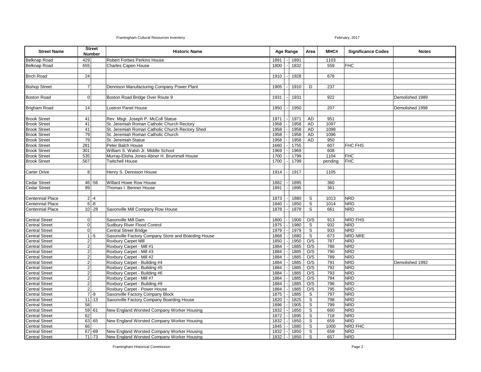| <b>Street Name</b>                             |                  | <b>Street</b><br>Number | <b>Historic Name</b>                                |              | Age Range |              |             |            | Area                     | MHC#            | <b>Significance Codes</b> | <b>Notes</b> |
|------------------------------------------------|------------------|-------------------------|-----------------------------------------------------|--------------|-----------|--------------|-------------|------------|--------------------------|-----------------|---------------------------|--------------|
| <b>Belknap Road</b>                            | 429              |                         | <b>Robert Forbes Perkins House</b>                  | 1891         |           | 1891         |             | 1103       |                          |                 |                           |              |
| <b>Belknap Road</b>                            | 655              |                         | <b>Charles Capen House</b>                          | 1800         |           | 1832         |             | 559        | <b>FHC</b>               |                 |                           |              |
|                                                |                  |                         |                                                     |              |           |              |             |            |                          |                 |                           |              |
| <b>Birch Road</b>                              | 24               |                         |                                                     | 1910         |           | 1928         |             | 678        |                          |                 |                           |              |
|                                                |                  |                         |                                                     |              |           |              |             |            |                          |                 |                           |              |
| <b>Bishop Street</b>                           | $\overline{7}$   |                         | Dennison Manufacturing Company Power Plant          | 1905         |           | 1910         | D           | 237        |                          |                 |                           |              |
|                                                |                  |                         |                                                     |              |           |              |             |            |                          |                 |                           |              |
| <b>Boston Road</b>                             | $\mathbf 0$      |                         | Boston Road Bridge Over Route 9                     | 1931         |           | 1931         |             | 922        |                          | Demolished 1989 |                           |              |
|                                                |                  |                         |                                                     |              |           |              |             |            |                          |                 |                           |              |
| <b>Brigham Road</b>                            | 14               |                         | Lustron Panel House                                 | 1950         |           | 1950         |             | 207        |                          | Demolished 1998 |                           |              |
|                                                |                  |                         |                                                     |              |           |              |             |            |                          |                 |                           |              |
| <b>Brook Street</b>                            | 41               |                         | Rev. Msgr. Joseph P. McColl Statue                  | 1971         |           | 1971         | AD          | 951        |                          |                 |                           |              |
| <b>Brook Street</b>                            | 41               |                         | St. Jeremiah Roman Catholic Church Rectory          | 1958         |           | 1958         | AD          | 1097       |                          |                 |                           |              |
| <b>Brook Street</b>                            | 41               |                         | St. Jeremiah Roman Catholic Church Rectory Shed     | 1958         |           | 1958         | AD          | 1098       |                          |                 |                           |              |
| <b>Brook Street</b>                            | 79               |                         | St. Jeremiah Roman Catholic Church                  | 1958         |           | 1958         | AD          | 1096       |                          |                 |                           |              |
| <b>Brook Street</b>                            | 79               |                         | St. Jeremiah Statue                                 | 1958         |           | 1958         | AD          | 950        |                          |                 |                           |              |
| <b>Brook Street</b>                            | 281              |                         | Peter Balch House                                   | 1660         |           | 1755         |             | 607        | <b>FHC FHS</b>           |                 |                           |              |
| <b>Brook Street</b>                            | 301              |                         | William S. Walsh Jr. Middle School                  | 1969         |           | 1969         |             | 608        |                          |                 |                           |              |
| <b>Brook Street</b>                            | 535              |                         | Murray-Elisha Jones-Abner H. Brummell House         | 1700         |           | 1799         |             | 1104       | <b>FHC</b>               |                 |                           |              |
| <b>Brook Street</b>                            | 567              |                         | <b>Twitchell House</b>                              | 1700         |           | 1799         |             | pending    | <b>FHC</b>               |                 |                           |              |
|                                                |                  |                         |                                                     |              |           |              |             |            |                          |                 |                           |              |
| <b>Carter Drive</b>                            | 8                |                         | Henry S. Dennison House                             | 1914         |           | 1917         |             | 1105       |                          |                 |                           |              |
|                                                |                  |                         |                                                     |              |           |              |             |            |                          |                 |                           |              |
| <b>Cedar Street</b>                            |                  | $46 - 56$               | Willard Howe Row House                              | 1882         |           | 1895         |             | 360        |                          |                 |                           |              |
| <b>Cedar Street</b>                            | 99               |                         | Thomas I. Benner House                              | 1891         |           | 1895         |             | 361        |                          |                 |                           |              |
| <b>Centennial Place</b>                        |                  | $2 - 4$                 |                                                     | 1873         |           | 1880         | S           | 1013       | <b>NRD</b>               |                 |                           |              |
| <b>Centennial Place</b>                        |                  | $6 - 8$                 |                                                     | 1840         |           | 1850         | $\mathbb S$ | 1014       | <b>NRD</b>               |                 |                           |              |
| <b>Centennial Place</b>                        |                  | $10 - 28$               | Saxonville Mill Company Row House                   | 1878         |           | 1878         | S           | 661        | <b>NRD</b>               |                 |                           |              |
|                                                |                  |                         |                                                     |              |           |              |             |            |                          |                 |                           |              |
| <b>Central Street</b>                          | $\overline{0}$   |                         | Saxonville Mill Dam                                 | 1800         |           | 1900         | O/S         | 913        | NRD FHS                  |                 |                           |              |
| <b>Central Street</b>                          | $\overline{0}$   |                         | <b>Sudbury River Flood Control</b>                  | 1975         |           | 1980         | S           | 932        | <b>NRD</b>               |                 |                           |              |
| <b>Central Street</b>                          | $\pmb{0}$        |                         | Central Street Bridge                               | 1979         |           | 1979         | S           | 933        | <b>NRD</b>               |                 |                           |              |
| <b>Central Street</b>                          |                  | $1$ -5                  | Saxonville Factory Company Store and Boarding House | 1868         |           | 1880         | S           | 673        | NRD NRE                  |                 |                           |              |
| <b>Central Street</b>                          | $\boldsymbol{2}$ |                         | <b>Roxbury Carpet Mill</b>                          | 1850         |           | 1950         | O/S         | 787        | <b>NRD</b>               |                 |                           |              |
| <b>Central Street</b>                          | $\overline{c}$   |                         | Roxbury Carpet - Mill #1                            | 1884         |           | 1885         | O/S         | 788        | <b>NRD</b>               |                 |                           |              |
| <b>Central Street</b>                          | $\overline{c}$   |                         | Roxbury Carpet - Mill #3                            | 1884         |           | 1885         | O/S         | 790        | <b>NRD</b>               |                 |                           |              |
| <b>Central Street</b>                          | $\overline{2}$   |                         | Roxbury Carpet - Mill #2                            | 1884         |           | 1885         | O/S         | 789        | <b>NRD</b>               |                 |                           |              |
| <b>Central Street</b>                          | $2\vert$         |                         | Roxbury Carpet - Building #4                        | 1884         |           | 1885         | O/S         | 791        | <b>NRD</b>               | Demolished 1992 |                           |              |
| <b>Central Street</b>                          | $\mathbf 2$      |                         | Roxbury Carpet - Building #5                        | 1884         |           | 1885         | O/S         | 792        | <b>NRD</b>               |                 |                           |              |
| <b>Central Street</b>                          | $\overline{2}$   |                         | Roxbury Carpet - Building #6                        | 1884         |           | 1885         | O/S         | 793        | <b>NRD</b>               |                 |                           |              |
| <b>Central Street</b>                          | $\overline{c}$   |                         | Roxbury Carpet - Mill #7                            | 1884         |           | 1885         | O/S         | 794        | <b>NRD</b>               |                 |                           |              |
| <b>Central Street</b>                          | $\overline{2}$   |                         | Roxbury Carpet - Building #9                        | 1884         |           | 1885         | O/S         | 796        | <b>NRD</b>               |                 |                           |              |
| <b>Central Street</b>                          | $\overline{2}$   |                         | Roxbury Carpet - Power House                        | 1884         |           | 1885         | O/S         | 795        | <b>NRD</b>               |                 |                           |              |
| <b>Central Street</b>                          |                  | $7 - 9$                 | Saxonville Factory Company Block                    | 1875         |           | 1885         | S           | 797        | <b>NRD</b>               |                 |                           |              |
| <b>Central Street</b>                          |                  | $11 - 13$               | Saxonville Factory Company Boarding House           | 1820         |           | 1825         | S           | 798        | <b>NRD</b>               |                 |                           |              |
| <b>Central Street</b>                          | 58               |                         |                                                     | 1896         |           | 1905         | S           | 799        | <b>NRD</b>               |                 |                           |              |
| <b>Central Street</b>                          |                  | $59 - 61$               | New England Worsted Company Worker Housing          | 1832         |           | 1850         | S           | 660        | <b>NRD</b>               |                 |                           |              |
| <b>Central Street</b>                          | 62               | $63 - 65$               | New England Worsted Company Worker Housing          | 1872         |           | 1895         | S<br>S      | 718<br>659 | <b>NRD</b><br><b>NRD</b> |                 |                           |              |
| <b>Central Street</b><br><b>Central Street</b> | 66               |                         |                                                     | 1832<br>1845 |           | 1850<br>1880 | S           | 1000       | NRD FHC                  |                 |                           |              |
| <b>Central Street</b>                          |                  | $67 - 69$               | New England Worsted Company Worker Housing          | 1832         |           | 1850         | S           | 658        | <b>NRD</b>               |                 |                           |              |
| <b>Central Street</b>                          |                  | $71 - 73$               | New England Worsted Company Worker Housing          | 1832         |           | 1850         | S           | 657        | <b>NRD</b>               |                 |                           |              |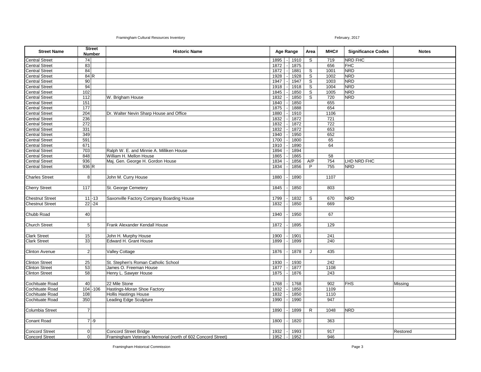| <b>Street Name</b>                                        |                 | <b>Street</b><br><b>Number</b> | <b>Historic Name</b>                                        | Age Range  |      | Area        | MHC#             | <b>Significance Codes</b> | <b>Notes</b> |
|-----------------------------------------------------------|-----------------|--------------------------------|-------------------------------------------------------------|------------|------|-------------|------------------|---------------------------|--------------|
| <b>Central Street</b>                                     | 74              |                                |                                                             | 1895       | 1910 | S           | 719              | NRD FHC                   |              |
| <b>Central Street</b>                                     | 83              |                                |                                                             | 1872       | 1875 |             | 656              | <b>FHC</b>                |              |
| <b>Central Street</b>                                     | 84              |                                |                                                             | 1872       | 1881 | S           | 1001             | <b>NRD</b>                |              |
| <b>Central Street</b>                                     | 84 R            |                                |                                                             | 1928       | 1928 | S           | 1002             | <b>NRD</b>                |              |
| <b>Central Street</b><br>Central Street                   | 90              |                                |                                                             | 1947       | 1947 | $\mathsf S$ | 1003             | <b>NRD</b>                |              |
|                                                           | 94              |                                |                                                             | 1918       | 1918 | S           | 1004             | <b>NRD</b>                |              |
| <b>Central Street</b>                                     | 102             |                                |                                                             | 1845       | 1850 | S           | 1005             | <b>NRD</b>                |              |
| <b>Central Street</b>                                     | 112             |                                | W. Brigham House                                            | 1832       | 1850 | S           | 720              | <b>NRD</b>                |              |
| <b>Central Street</b>                                     | 151             |                                |                                                             | 1840       | 1850 |             | 655              |                           |              |
| <b>Central Street</b>                                     | 177             |                                |                                                             | 1875       | 1888 |             | 654              |                           |              |
|                                                           | 204             |                                | Dr. Walter Nevin Sharp House and Office                     | 1880       | 1910 |             | 1106             |                           |              |
| Central Street<br>Central Street<br>Central Street        | 236             |                                |                                                             | 1832       | 1872 |             | $\overline{721}$ |                           |              |
|                                                           | 272             |                                |                                                             | 1832       | 1872 |             | 722              |                           |              |
| <b>Central Street</b>                                     | 331             |                                |                                                             | 1832       | 1872 |             | 653              |                           |              |
| Central Street                                            | 349             |                                |                                                             | 1940       | 1950 |             | 652              |                           |              |
|                                                           | 591             |                                |                                                             | 1700       | 1800 |             | 65               |                           |              |
|                                                           | 671             |                                |                                                             | 1910       | 1890 |             | 64               |                           |              |
| <b>Central Street</b><br>Central Street<br>Central Street | 703             |                                | Ralph W. E. and Minnie A. Milliken House                    | 1894       | 1894 |             |                  |                           |              |
| Central Street<br>Central Street                          | 848             |                                | William H. Mellon House                                     | 1865       | 1865 |             | 58               |                           |              |
|                                                           | 936             |                                | Maj. Gen. George H. Gordon House                            | 1834       | 1856 | A/P         | 754              | LHD NRD FHC               |              |
| <b>Central Street</b>                                     | 936 R           |                                |                                                             | 1834       | 1856 | P           | 755              | <b>NRD</b>                |              |
|                                                           |                 |                                |                                                             |            |      |             |                  |                           |              |
| <b>Charles Street</b>                                     | 8               |                                | John M. Curry House                                         | 1880       | 1890 |             | 1107             |                           |              |
|                                                           |                 |                                |                                                             |            |      |             |                  |                           |              |
| <b>Cherry Street</b>                                      | 117             |                                | St. George Cemetery                                         | 1845       | 1850 |             | 803              |                           |              |
|                                                           |                 |                                |                                                             |            |      |             |                  |                           |              |
| <b>Chestnut Street</b>                                    |                 | $11 - 13$                      | Saxonville Factory Company Boarding House                   | 1799       | 1832 | S           | 670              | <b>NRD</b>                |              |
| <b>Chestnut Street</b>                                    |                 | $22 - 24$                      |                                                             | 1832       | 1850 |             | 669              |                           |              |
|                                                           |                 |                                |                                                             |            |      |             |                  |                           |              |
| Chubb Road                                                | 40              |                                |                                                             | 1940       | 1950 |             | 67               |                           |              |
|                                                           |                 |                                |                                                             |            |      |             |                  |                           |              |
| <b>Church Street</b>                                      | $5\phantom{.0}$ |                                | Frank Alexander Kendall House                               | 1872       | 1895 |             | 129              |                           |              |
|                                                           |                 |                                |                                                             |            |      |             |                  |                           |              |
| <b>Clark Street</b>                                       | 15              |                                | John H. Murphy House                                        | 1900       | 1901 |             | 241              |                           |              |
| <b>Clark Street</b>                                       | 33              |                                | Edward H. Grant House                                       | 1899       | 1899 |             | 240              |                           |              |
|                                                           |                 |                                |                                                             |            |      |             |                  |                           |              |
| <b>Clinton Avenue</b>                                     | $\overline{2}$  |                                | Valley Cottage                                              | 1876       | 1878 | J           | 435              |                           |              |
|                                                           |                 |                                |                                                             |            |      |             |                  |                           |              |
| <b>Clinton Street</b>                                     | 25              |                                | St. Stephen's Roman Catholic School                         | 1930       | 1930 |             | 242              |                           |              |
| <b>Clinton Street</b>                                     | 53              |                                | James O. Freeman House                                      | 1877       | 1877 |             | 1108             |                           |              |
| <b>Clinton Street</b>                                     | 58              |                                | Henry L. Sawyer House                                       | 1875       | 1876 |             | 243              |                           |              |
|                                                           |                 |                                |                                                             |            |      |             |                  |                           |              |
| Cochituate Road                                           | 40              |                                | 22 Mile Stone                                               | 1768       | 1768 |             | 902              | <b>FHS</b>                | Missing      |
| Cochituate Road                                           |                 | $104 - 106$                    | Hastings-Moran Shoe Factory                                 | 1832       | 1850 |             | 1109             |                           |              |
| Cochituate Road                                           | 108             |                                | Hollis Hastings House                                       | 1832       | 1850 |             | 1110             |                           |              |
| Cochituate Road                                           | 350             |                                | <b>Leading Edge Sculpture</b>                               | 1990       | 1990 |             | 947              |                           |              |
|                                                           |                 |                                |                                                             |            |      |             |                  |                           |              |
| Columbia Street                                           | $\overline{7}$  |                                |                                                             | 1890       | 1899 | R           | 1048             | <b>NRD</b>                |              |
|                                                           |                 |                                |                                                             |            |      |             |                  |                           |              |
| Conant Road                                               |                 | $7 - 9$                        |                                                             | 1800       | 1820 |             | 363              |                           |              |
|                                                           |                 |                                |                                                             |            |      |             |                  |                           |              |
| Concord Street<br>Concord Street                          | $\pmb{0}$       |                                | <b>Concord Street Bridge</b>                                | 1932       | 1993 |             | 917              |                           | Restored     |
|                                                           | $\overline{0}$  |                                | Framingham Veteran's Memorial (north of 602 Concord Street) | $1952$ $-$ | 1952 |             | 946              |                           |              |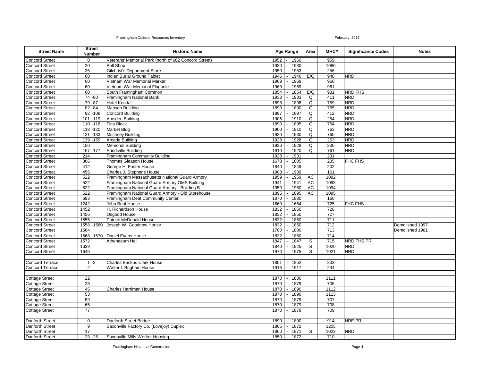| <b>Street Name</b>     | <b>Street</b><br>Number | <b>Historic Name</b>                                  |          | <b>Age Range</b> |      |     |                  |                |                 | Area | MHC# | <b>Significance Codes</b> | <b>Notes</b> |
|------------------------|-------------------------|-------------------------------------------------------|----------|------------------|------|-----|------------------|----------------|-----------------|------|------|---------------------------|--------------|
| <b>Concord Street</b>  | $\overline{0}$          | Veterans' Memorial Park (north of 602 Concord Street) | 1952     |                  | 1960 |     | 959              |                |                 |      |      |                           |              |
| <b>Concord Street</b>  | 20                      | <b>Bell Shop</b>                                      | 1930     |                  | 1930 |     | 1086             |                |                 |      |      |                           |              |
| <b>Concord Street</b>  | 35                      | Gilchrist's Department Store                          | 1950     |                  | 1953 |     | 256              |                |                 |      |      |                           |              |
| <b>Concord Street</b>  | 60                      | Indian Burial Ground Tablet                           | 1946     |                  | 1946 | E/Q | 948              | <b>NRD</b>     |                 |      |      |                           |              |
| <b>Concord Street</b>  | 60                      | Vietnam War Memorial Marker                           | 1969     |                  | 1969 |     | 960              |                |                 |      |      |                           |              |
| <b>Concord Street</b>  | 60                      | Vietnam War Memorial Flagpole                         | 1969     |                  | 1969 |     | 961              |                |                 |      |      |                           |              |
| <b>Concord Street</b>  | 60                      | South Framingham Common                               | 1854     |                  | 1854 | E/Q | 931              | <b>NRD FHS</b> |                 |      |      |                           |              |
| <b>Concord Street</b>  | $74 - 80$               | Framingham National Bank                              | 1933     |                  | 1933 | Q   | 411              | <b>NRD</b>     |                 |      |      |                           |              |
| <b>Concord Street</b>  | $79 - 87$               | <b>Hotel Kendall</b>                                  | 1898     |                  | 1898 | Q   | 759              | <b>NRD</b>     |                 |      |      |                           |              |
| <b>Concord Street</b>  | $82 - 84$               | Manson Building                                       | 1890     |                  | 1890 | Q   | 765              | <b>NRD</b>     |                 |      |      |                           |              |
| <b>Concord Street</b>  | $92 - 108$              | Concord Building                                      | 1897     |                  | 1897 | Q   | 412              | <b>NRD</b>     |                 |      |      |                           |              |
| <b>Concord Street</b>  | $101 - 119$             | Amsden Building                                       | 1906     |                  | 1910 | Q   | 254              | <b>NRD</b>     |                 |      |      |                           |              |
| <b>Concord Street</b>  | $110$ -116              | <b>Fitts Block</b>                                    | 1890     |                  | 1895 | Q   | 764              | <b>NRD</b>     |                 |      |      |                           |              |
| <b>Concord Street</b>  | $118 - 120$             | Market Bldg                                           | 1900     |                  | 1910 | Q   | 763              | <b>NRD</b>     |                 |      |      |                           |              |
| <b>Concord Street</b>  | $121 - 133$             | <b>Mullaney Building</b>                              | 1920     |                  | 1930 | Q   | 760              | <b>NRD</b>     |                 |      |      |                           |              |
| <b>Concord Street</b>  | $139 - 159$             | Arcade Building                                       | 1928     |                  | 1928 | Q   | 253              | <b>NRD</b>     |                 |      |      |                           |              |
| <b>Concord Street</b>  | 150                     | <b>Memorial Building</b>                              | 1926     |                  | 1928 | Q   | 230              | <b>NRD</b>     |                 |      |      |                           |              |
| <b>Concord Street</b>  | 167-177                 | Prindiville Building                                  | 1910     |                  | 1920 | Q   | 761              | <b>NRD</b>     |                 |      |      |                           |              |
| <b>Concord Street</b>  | 214                     | Framingham Community Building                         | 1928     |                  | 1931 |     | 231              |                |                 |      |      |                           |              |
| <b>Concord Street</b>  | 306                     | Thomas Gleason House                                  | 1678     |                  | 1805 |     | 235              | FHC FHS        |                 |      |      |                           |              |
| <b>Concord Street</b>  | 412                     | George H. Foster House                                | 1840     |                  | 1849 |     | 202              |                |                 |      |      |                           |              |
| <b>Concord Street</b>  | 456                     | Charles J. Stephens House                             | 1908     |                  | 1909 |     | 161              |                |                 |      |      |                           |              |
| <b>Concord Street</b>  | 522                     | Framingham Massachusetts National Guard Armory        | 1959     |                  | 1959 | AC  | 1092             |                |                 |      |      |                           |              |
| <b>Concord Street</b>  | 522                     | Framingham National Guard Armory OMS Building         | 1941     |                  | 1941 | AC  | 1093             |                |                 |      |      |                           |              |
| <b>Concord Street</b>  | 522                     | Framingham National Guard Armory - Building B         | 1950     |                  | 1950 | AC  | 1094             |                |                 |      |      |                           |              |
| <b>Concord Street</b>  | 522                     | Framingham National Guard Armory - Old Storehouse     | 1895     |                  | 1895 | AC  | 1095             |                |                 |      |      |                           |              |
| <b>Concord Street</b>  | 693                     | Framingham Deaf Community Center                      | 1870     |                  | 1880 |     | 160              |                |                 |      |      |                           |              |
| <b>Concord Street</b>  | 1242                    | John Bent House                                       | 1660     |                  | 1664 |     | 725              | FHC FHS        |                 |      |      |                           |              |
| <b>Concord Street</b>  | 1452                    | H. Richardson House                                   | 1832     |                  | 1850 |     | 726              |                |                 |      |      |                           |              |
| <b>Concord Street</b>  | 1456                    | Osgood House                                          | 1832     |                  | 1850 |     | 727              |                |                 |      |      |                           |              |
| <b>Concord Street</b>  | 1555                    | Patrick McDonald House                                | 1832     |                  | 1850 |     | 711              |                |                 |      |      |                           |              |
| <b>Concord Street</b>  | 1558 - 1560             | Joseph W. Goodnow House                               | 1832     |                  | 1850 |     | $\overline{712}$ |                | Demolished 1997 |      |      |                           |              |
| <b>Concord Street</b>  | 1564                    |                                                       | 1700     |                  | 1800 |     | 713              |                | Demolished 1981 |      |      |                           |              |
| <b>Concord Street</b>  |                         | 1568 -1570 Daniel Evans House                         | 1832     |                  | 1850 |     | 714              |                |                 |      |      |                           |              |
| <b>Concord Street</b>  | 1572                    | Athenaeum Hall                                        | 1847     |                  | 1847 | S   | 715              | NRD FHS PR     |                 |      |      |                           |              |
| <b>Concord Street</b>  | 1639                    |                                                       | 1840     |                  | 1925 | S   | 1020             | <b>NRD</b>     |                 |      |      |                           |              |
| <b>Concord Street</b>  | 1645                    |                                                       | 1970     |                  | 1975 | S   | 1021             | <b>NRD</b>     |                 |      |      |                           |              |
|                        |                         |                                                       |          |                  |      |     |                  |                |                 |      |      |                           |              |
| <b>Concord Terrace</b> | $1 - 3$                 | <b>Charles Backus Clark House</b>                     | 1851     |                  | 1852 |     | 233              |                |                 |      |      |                           |              |
| <b>Concord Terrace</b> | $\overline{2}$          | Walter I. Brigham House                               | 1916     |                  | 1917 |     | 234              |                |                 |      |      |                           |              |
|                        |                         |                                                       |          |                  |      |     |                  |                |                 |      |      |                           |              |
| <b>Cottage Street</b>  | $\overline{22}$         |                                                       | 1870     |                  | 1880 |     | 1111             |                |                 |      |      |                           |              |
| Cottage Street         | 28                      |                                                       | 1870     |                  | 1879 |     | 706              |                |                 |      |      |                           |              |
| <b>Cottage Street</b>  | 45                      | <b>Charles Harriman House</b>                         | 1870     |                  | 1890 |     | 1112             |                |                 |      |      |                           |              |
| Cottage Street         | $\overline{53}$         |                                                       | 1870     |                  | 1890 |     | 1113             |                |                 |      |      |                           |              |
| <b>Cottage Street</b>  | 59                      |                                                       | 1870     |                  | 1879 |     | 707              |                |                 |      |      |                           |              |
| <b>Cottage Street</b>  | 65                      |                                                       | 1870     |                  | 1879 |     | 708              |                |                 |      |      |                           |              |
| <b>Cottage Street</b>  | $\overline{77}$         |                                                       | 1870     |                  | 1879 |     | 709              |                |                 |      |      |                           |              |
|                        |                         |                                                       |          |                  |      |     |                  |                |                 |      |      |                           |              |
| <b>Danforth Street</b> | $\Omega$                | Danforth Street Bridge                                | 1890     |                  | 1890 |     | 914              | NRE PR         |                 |      |      |                           |              |
| Danforth Street        | $\overline{9}$          | Saxonville Factory Co. (Lovejoy) Duplex               | 1865     |                  | 1872 |     | 1205             |                |                 |      |      |                           |              |
| Danforth Street        | 17                      |                                                       | 1860     |                  | 1871 | S   | 1023             | <b>NRD</b>     |                 |      |      |                           |              |
| Danforth Street        | $23 - 25$               | Saxonville Mills Worker Housing                       | 1850 l-l |                  | 1872 |     | 710              |                |                 |      |      |                           |              |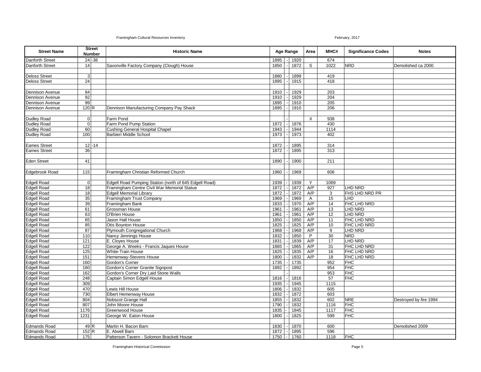| <b>Street Name</b>     |                  | <b>Street</b><br><b>Number</b> | <b>Historic Name</b>                                   |                  | Age Range |      |              |      | Area           | MHC#                   | <b>Significance Codes</b> | <b>Notes</b> |
|------------------------|------------------|--------------------------------|--------------------------------------------------------|------------------|-----------|------|--------------|------|----------------|------------------------|---------------------------|--------------|
| <b>Danforth Street</b> |                  | $24 - 36$                      |                                                        | 1895             |           | 1920 |              | 674  |                |                        |                           |              |
| Danforth Street        | 14               |                                | Saxonville Factory Company (Clough) House              | 1850             |           | 1872 | S            | 1022 | <b>NRD</b>     | Demolished ca 2000     |                           |              |
|                        |                  |                                |                                                        |                  |           |      |              |      |                |                        |                           |              |
| <b>Deloss Street</b>   | 3 <sup>1</sup>   |                                |                                                        | 1880             |           | 1899 |              | 419  |                |                        |                           |              |
| <b>Deloss Street</b>   | 24               |                                |                                                        | 1895             |           | 1915 |              | 418  |                |                        |                           |              |
|                        |                  |                                |                                                        |                  |           |      |              |      |                |                        |                           |              |
| <b>Dennison Avenue</b> | 84               |                                |                                                        | 1910             |           | 1929 |              | 203  |                |                        |                           |              |
| <b>Dennison Avenue</b> | 92               |                                |                                                        | 1910             |           | 1929 |              | 204  |                |                        |                           |              |
| <b>Dennison Avenue</b> | 99               |                                |                                                        | 1895             |           | 1910 |              | 205  |                |                        |                           |              |
| <b>Dennison Avenue</b> | 120 <sub>R</sub> |                                | Dennison Manufacturing Company Pay Shack               | 1895             |           | 1910 |              | 206  |                |                        |                           |              |
|                        |                  |                                |                                                        |                  |           |      |              |      |                |                        |                           |              |
| <b>Dudley Road</b>     | $\overline{0}$   |                                | Farm Pond                                              |                  |           |      | $\times$     | 938  |                |                        |                           |              |
| <b>Dudley Road</b>     | $\overline{0}$   |                                | Farm Pond Pump Station                                 | 1872             |           | 1876 |              | 430  |                |                        |                           |              |
| Dudley Road            | 60               |                                | Cushing General Hospital Chapel                        | 1943             |           | 1944 |              | 1114 |                |                        |                           |              |
| <b>Dudley Road</b>     | 100              |                                | Barbieri Middle School                                 | 1973             |           | 1973 |              | 402  |                |                        |                           |              |
|                        |                  |                                |                                                        |                  |           |      |              |      |                |                        |                           |              |
| <b>Eames Street</b>    |                  | $12 - 14$                      |                                                        | 1872             |           | 1895 |              | 314  |                |                        |                           |              |
| <b>Eames Street</b>    | 36               |                                |                                                        | 1872             |           | 1895 |              | 313  |                |                        |                           |              |
|                        |                  |                                |                                                        |                  |           |      |              |      |                |                        |                           |              |
| <b>Eden Street</b>     | 41               |                                |                                                        | 1890             |           | 1900 |              | 211  |                |                        |                           |              |
|                        |                  |                                |                                                        |                  |           |      |              |      |                |                        |                           |              |
| <b>Edgebrook Road</b>  | 115              |                                | Framingham Christian Reformed Church                   | 1960             |           | 1969 |              | 606  |                |                        |                           |              |
|                        |                  |                                |                                                        |                  |           |      |              |      |                |                        |                           |              |
| <b>Edgell Road</b>     | $\overline{0}$   |                                | Edgell Road Pumping Station (north of 645 Edgell Road) | 1939             |           | 1939 | Y            | 1069 |                |                        |                           |              |
| <b>Edgell Road</b>     | 18               |                                | Framingham Centre Civil War Memorial Statue            | 1872             |           | 1872 | A/P          | 927  | <b>LHD NRD</b> |                        |                           |              |
| <b>Edgell Road</b>     | 18               |                                | <b>Edgell Memorial Library</b>                         | 1872             |           | 1872 | A/P          | 3    | FHS LHD NRD PR |                        |                           |              |
| <b>Edgell Road</b>     | 35               |                                | Framingham Trust Company                               | 1969             |           | 1969 | $\mathsf{A}$ | 15   | <b>LHD</b>     |                        |                           |              |
| <b>Edgell Road</b>     | 39               |                                | Framingham Bank                                        | 1833             |           | 1970 | A/P          | 14   | FHC LHD NRD    |                        |                           |              |
| <b>Edgell Road</b>     | 61               |                                | Grossman House                                         | 1961             |           | 1961 | A/P          | 13   | LHD NRD        |                        |                           |              |
| <b>Edgell Road</b>     | 63               |                                | O'Brien House                                          | 1961             |           | 1961 | A/P          | 12   | LHD NRD        |                        |                           |              |
| <b>Edgell Road</b>     | 65               |                                | Jason Hall House                                       | 1850             |           | 1850 | A/P          | 11   | FHC LHD NRD    |                        |                           |              |
| Edgell Road            | 85               |                                | Otis Boynton House                                     | 1825             |           | 1825 | A/P          | 10   | FHC LHD NRD    |                        |                           |              |
| <b>Edgell Road</b>     | 87               |                                | Plymouth Congregational Church                         | 1968             |           | 1968 | A/P          | 9    | LHD NRD        |                        |                           |              |
| <b>Edgell Road</b>     | 110              |                                | Nancy Jennings House                                   | 1832             |           | 1850 | P            | 30   | <b>NRD</b>     |                        |                           |              |
| Edgell Road            | 121              |                                | E. Cloyes House                                        | 1831             |           | 1839 | A/P          | 17   | <b>LHD NRD</b> |                        |                           |              |
| <b>Edgell Road</b>     | 122              |                                | George A. Weeks - Francis Jaques House                 | 1865             |           | 1865 | A/P          | 31   | FHC LHD NRD    |                        |                           |              |
| Edgell Road            | 125              |                                | <b>White-Train House</b>                               | 1825             |           | 1835 | A/P          | 16   | FHC LHD NRD    |                        |                           |              |
| <b>Edgell Road</b>     | 151              |                                | Hemenway-Stevens House                                 | 1800             |           | 1832 | A/P          | 18   | FHC LHD NRD    |                        |                           |              |
| Edgell Road            | 160              |                                | Gordon's Corner                                        | 1735             |           | 1735 |              | 952  | <b>FHC</b>     |                        |                           |              |
| Edgell Road            | 160              |                                | Gordon's Corner Granite Signpost                       | 1892             |           | 1892 |              | 954  | <b>FHC</b>     |                        |                           |              |
| <b>Edgell Road</b>     | 162              |                                | Gordon's Corner Dry Laid Stone Walls                   |                  |           |      |              | 953  | <b>FHC</b>     |                        |                           |              |
| Edgell Road            | 248              |                                | Captain Simon Edgell House                             | 1816             |           | 1816 |              | 57   | <b>FHC</b>     |                        |                           |              |
| <b>Edgell Road</b>     | 309              |                                |                                                        | 1935             |           | 1945 |              | 1115 |                |                        |                           |              |
| <b>Edgell Road</b>     | 470              |                                | Lewis Hill House                                       | 1806             |           | 1832 |              | 605  |                |                        |                           |              |
| <b>Edgell Road</b>     | 730              |                                | <b>Elbert Hemenway House</b>                           | 1832             |           | 1872 |              | 603  |                |                        |                           |              |
| <b>Edgell Road</b>     | 804              |                                | Nobscot Grange Hall                                    | 1855             |           | 1832 |              | 602  | <b>NRE</b>     | Destroyed by fire 1994 |                           |              |
| <b>Edgell Road</b>     | 807              |                                | John Moore House                                       | 1790             |           | 1832 |              | 1116 | <b>FHC</b>     |                        |                           |              |
| <b>Edgell Road</b>     | 1176             |                                | Greenwood House                                        | 1835             |           | 1845 |              | 1117 | <b>FHC</b>     |                        |                           |              |
| <b>Edgell Road</b>     | 1231             |                                | George W. Eaton House                                  | 1800             |           | 1825 |              | 599  | <b>FHC</b>     |                        |                           |              |
|                        |                  |                                |                                                        |                  |           |      |              |      |                |                        |                           |              |
| <b>Edmands Road</b>    |                  | 49 R                           | Martin H. Bacon Barn                                   | 1830             |           | 1870 |              | 600  |                | Demolished 2009        |                           |              |
| <b>Edmands Road</b>    | 152 R            |                                | E. Atwell Barn                                         | 1872             |           | 1895 |              | 596  |                |                        |                           |              |
| <b>Edmands Road</b>    | 175              |                                | Patterson Tavern - Solomon Brackett House              | $1750$ $\vert$ - |           | 1760 |              | 1118 | <b>FHC</b>     |                        |                           |              |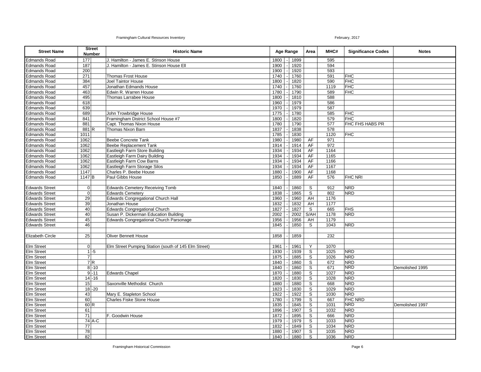| <b>Street Name</b>                     |                | <b>Street</b><br><b>Number</b> | <b>Historic Name</b>                                 | <b>Age Range</b> |              | Area           | MHC#        | <b>Significance Codes</b> | <b>Notes</b>    |
|----------------------------------------|----------------|--------------------------------|------------------------------------------------------|------------------|--------------|----------------|-------------|---------------------------|-----------------|
| <b>Edmands Road</b>                    | 177            |                                | J. Hamilton - James E. Stinson House                 | 1800             | 1899         |                | 595         |                           |                 |
| <b>Edmands Road</b>                    | 187            |                                | J. Hamilton - James E. Stinson House Ell             | 1900             | 1920         |                | 594         |                           |                 |
| <b>Edmands Road</b>                    | 200            |                                |                                                      | 1900             | 1920         |                | 593         |                           |                 |
| <b>Edmands Road</b>                    | 271            |                                | <b>Thomas Frost House</b>                            | 1740             | 1760         |                | 591         | <b>FHC</b>                |                 |
| <b>Edmands Road</b>                    | 384            |                                | Joel Taintor House                                   | 1800             | 1820         |                | 590         | <b>FHC</b>                |                 |
| <b>Edmands Road</b>                    | 457            |                                | Jonathan Edmands House                               | 1740             | 1760         |                | 1119        | <b>FHC</b>                |                 |
| Edmands Road                           | 463            |                                | Edwin R. Warren House                                | 1780             | 1790         |                | 589         | <b>FHC</b>                |                 |
| <b>Edmands Road</b>                    | 495            |                                | Thomas Larrabee House                                | 1800             | 1810         |                | 588         |                           |                 |
| <b>Edmands Road</b>                    | 618            |                                |                                                      | 1960             | 1979         |                | 586         |                           |                 |
| <b>Edmands Road</b>                    | 639            |                                |                                                      | 1970             | 1979         |                | 587         |                           |                 |
| <b>Edmands Road</b>                    | 689            |                                | John Trowbridge House                                | 1775             | 1780         |                | 585         | <b>FHC</b>                |                 |
| <b>Edmands Road</b>                    | 841            |                                | Framingham District School House #7                  | 1800             | 1820         |                | 579         | <b>FHC</b>                |                 |
| <b>Edmands Road</b>                    | 881            |                                | Capt. Thomas Nixon House                             | 1780             | 1790         |                | 577         | FHC FHS HABS PR           |                 |
| <b>Edmands Road</b>                    | 881 R          |                                | Thomas Nixon Barn                                    | 1837             | 1838         |                | 578         |                           |                 |
| <b>Edmands Road</b>                    | 1011           |                                |                                                      | 1785             | 1830         |                | 1120        | <b>FHC</b>                |                 |
| <b>Edmands Road</b>                    | 1062           |                                | <b>Beebe Concrete Tank</b>                           | 1980             | 1980         | AF             | 971         |                           |                 |
| <b>Edmands Road</b>                    | 1062           |                                | <b>Beebe Replacement Tank</b>                        | 1914             | 1914         | AF             | 972         |                           |                 |
| <b>Edmands Road</b>                    | 1062           |                                | Eastleigh Farm Store Building                        | 1934             | 1934         | AF             | 1164        |                           |                 |
| <b>Edmands Road</b>                    | 1062           |                                | Eastleigh Farm Dairy Building                        | 1934             | 1934         | AF             | 1165        |                           |                 |
| <b>Edmands Road</b>                    | 1062           |                                | Eastleigh Farm Cow Barns                             | 1934             | 1934         | AF             | 1166        |                           |                 |
| <b>Edmands Road</b>                    | 1062           |                                | Eastleigh Farm Storage Silos                         | 1934             | 1934         | AF             | 1167        |                           |                 |
| <b>Edmands Road</b>                    | 1147           |                                | Charles P. Beebe House                               | 1880             | 1900         | AF             | 1168        |                           |                 |
| <b>Edmands Road</b>                    | $1147$ B       |                                | Paul Gibbs House                                     | 1850             | 1889         | AF             | 576         | <b>FHC NRI</b>            |                 |
|                                        |                |                                |                                                      |                  |              |                |             |                           |                 |
| <b>Edwards Street</b>                  | 0              |                                | <b>Edwards Cemetery Receiving Tomb</b>               | 1840             | 1860         | S              | 912         | <b>NRD</b>                |                 |
| <b>Edwards Street</b>                  | $\mathbf 0$    |                                | <b>Edwards Cemetery</b>                              | 1838             | 1865         | S              | 802         | <b>NRD</b>                |                 |
| <b>Edwards Street</b>                  | 29             |                                | <b>Edwards Congregational Church Hall</b>            | 1960             | 1960         | AH             | 1176        |                           |                 |
| <b>Edwards Street</b>                  | 39             |                                | Jonathan House                                       | 1832             | 1832         | AH             | 1177        |                           |                 |
| <b>Edwards Street</b>                  | 40             |                                | Edwards Congregational Church                        | 1827             | 1827         | S              | 665         | <b>FHS</b>                |                 |
| <b>Edwards Street</b>                  | 40             |                                | Susan P. Dickerman Education Building                | 2002             | 2002         | S/AH           | 1178        | <b>NRD</b>                |                 |
| <b>Edwards Street</b>                  | 45             |                                | Edwards Congregational Church Parsonage              | 1956             | 1956         | AH             | 1179        |                           |                 |
| <b>Edwards Street</b>                  | 46             |                                |                                                      | 1845             | 1850         | S              | 1043        | <b>NRD</b>                |                 |
|                                        |                |                                |                                                      |                  |              |                |             |                           |                 |
| Elizabeth Circle                       | 25             |                                | <b>Oliver Bennett House</b>                          | 1858             | 1859         |                | 232         |                           |                 |
|                                        |                |                                |                                                      |                  |              |                |             |                           |                 |
| Elm Street                             | $\mathbf{O}$   |                                | Elm Street Pumping Station (south of 145 Elm Street) | 1961             | 1961         | Y              | 1070        |                           |                 |
| <b>Elm Street</b>                      |                | $1 - 5$                        |                                                      | 1930             | 1939         | S              | 1025        | <b>NRD</b>                |                 |
| <b>Elm Street</b>                      | $\overline{7}$ | 7R                             |                                                      | 1875<br>1840     | 1885         | S<br>S         | 1026<br>672 | <b>NRD</b><br><b>NRD</b>  |                 |
| <b>Elm Street</b><br><b>Elm Street</b> |                | $8 - 10$                       |                                                      | 1840             | 1860<br>1860 | S              | 671         | <b>NRD</b>                | Demolished 1995 |
| <b>Elm Street</b>                      |                | $9 - 11$                       | <b>Edwards Chapel</b>                                | 1870             | 1880         | S              | 1027        | <b>NRD</b>                |                 |
| Elm Street                             |                | $14 - 16$                      |                                                      | 1820             | 1830         | S              | 1028        | <b>NRD</b>                |                 |
| <b>Elm Street</b>                      | 15             |                                | Saxonville Methodist Church                          | 1880             | 1880         | S              | 668         | <b>NRD</b>                |                 |
| <b>Elm Street</b>                      |                | $18 - 20$                      |                                                      | 1823             | 1830         | S              | 1029        | <b>NRD</b>                |                 |
| Elm Street                             | 43             |                                | Mary E. Stapleton School                             | 1922             | 1922         | $\overline{s}$ | 1030        | <b>NRD</b>                |                 |
| Elm Street                             | 60             |                                | Charles Fiske Stone House                            | 1780             | 1799         | S              | 667         | <b>FHC NRD</b>            |                 |
| <b>Elm Street</b>                      | 60 R           |                                |                                                      | 1835             | 1845         | S              | 1031        | <b>NRD</b>                | Demolished 1997 |
| <b>Elm Street</b>                      | 61             |                                |                                                      | 1896             | 1907         | S              | 1032        | <b>NRD</b>                |                 |
| <b>Elm Street</b>                      | 71             |                                | F. Goodwin House                                     | 1872             | 1895         | S              | 666         | <b>NRD</b>                |                 |
| Elm Street                             |                | 74 A-C                         |                                                      | 1979             | 1979         | S              | 1033        | <b>NRD</b>                |                 |
| <b>Elm Street</b>                      | 77             |                                |                                                      | 1832             | 1849         | S              | 1034        | <b>NRD</b>                |                 |
| Elm Street                             | 78             |                                |                                                      | 1880             | 1907         | $\mathsf{s}$   | 1035        | <b>NRD</b>                |                 |
| <b>Elm Street</b>                      | 82             |                                |                                                      | 1840             | 1880         | S              | 1036        | <b>NRD</b>                |                 |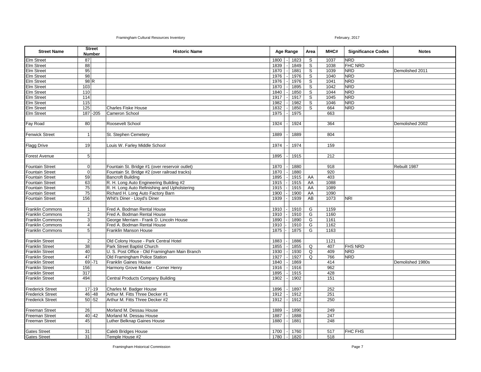| <b>Street Name</b>                     |                  | <b>Street</b><br><b>Number</b> | <b>Historic Name</b>                           | <b>Age Range</b>  |  | Area | MHC#             | <b>Significance Codes</b> | <b>Notes</b>   |                  |
|----------------------------------------|------------------|--------------------------------|------------------------------------------------|-------------------|--|------|------------------|---------------------------|----------------|------------------|
| Elm Street                             | 87               |                                |                                                | 1800              |  | 1823 | S                | 1037                      | <b>NRD</b>     |                  |
| <b>Elm Street</b>                      | 88               |                                |                                                | 1839              |  | 1849 | S                | 1038                      | <b>FHC NRD</b> |                  |
| Elm Street                             | 95               |                                |                                                | 1870              |  | 1881 | S                | 1039                      | <b>NRD</b>     | Demolished 2011  |
| <b>Elm Street</b>                      | 98               |                                |                                                | 1976              |  | 1976 | S                | 1040                      | <b>NRD</b>     |                  |
| <b>Elm Street</b>                      | 98R              |                                |                                                | 1976              |  | 1976 |                  | 1041                      | <b>NRD</b>     |                  |
| Elm Street                             | 103              |                                |                                                | 1870              |  | 1895 | $\mathsf S$<br>S | 1042                      | <b>NRD</b>     |                  |
| <b>Elm Street</b>                      | 110              |                                |                                                | 1840              |  | 1850 | S                | 1044                      | <b>NRD</b>     |                  |
|                                        | 114              |                                |                                                | 1917              |  |      | S                | 1045                      | <b>NRD</b>     |                  |
| <b>Elm Street</b><br><b>Elm Street</b> | 115              |                                |                                                |                   |  | 1917 |                  | 1046                      | <b>NRD</b>     |                  |
| <b>Elm Street</b>                      | 125              |                                |                                                | 1982              |  | 1982 | S                |                           |                |                  |
|                                        |                  | 187-205                        | <b>Charles Fiske House</b>                     | 1832<br>1975      |  | 1850 | S                | 664<br>663                | <b>NRD</b>     |                  |
| <b>Elm Street</b>                      |                  |                                | Cameron School                                 |                   |  | 1975 |                  |                           |                |                  |
| Fay Road                               | 80               |                                | Roosevelt School                               | 1924              |  | 1924 |                  | 364                       |                | Demolished 2002  |
|                                        |                  |                                |                                                |                   |  |      |                  |                           |                |                  |
| <b>Fenwick Street</b>                  | 1                |                                | St. Stephen Cemetery                           | 1889              |  | 1889 |                  | 804                       |                |                  |
|                                        |                  |                                |                                                |                   |  |      |                  |                           |                |                  |
|                                        | 19               |                                | Louis W. Farley Middle School                  | 1974              |  | 1974 |                  | 159                       |                |                  |
| <b>Flagg Drive</b>                     |                  |                                |                                                |                   |  |      |                  |                           |                |                  |
|                                        | $\overline{5}$   |                                |                                                |                   |  |      |                  |                           |                |                  |
| Forest Avenue                          |                  |                                |                                                | 1895              |  | 1915 |                  | 212                       |                |                  |
|                                        |                  |                                |                                                |                   |  |      |                  |                           |                |                  |
| <b>Fountain Street</b>                 | $\pmb{0}$        |                                | Fountain St. Bridge #1 (over reservoir outlet) | 1870              |  | 1880 |                  | 918                       |                | Rebuilt 1987     |
| <b>Fountain Street</b>                 | $\mathbf 0$      |                                | Fountain St. Bridge #2 (over railroad tracks)  | 1870              |  | 1880 |                  | 920                       |                |                  |
| <b>Fountain Street</b>                 | 59               |                                | <b>Bancroft Building</b>                       | 1895              |  | 1915 | AA               | 403                       |                |                  |
| <b>Fountain Street</b>                 | 63               |                                | R. H. Long Auto Engineering Building #2        | 1915              |  | 1915 | AA               | 1088                      |                |                  |
| <b>Fountain Street</b>                 | 75               |                                | R. H. Long Auto Refinishing and Upholstering   | 1915              |  | 1915 | AA               | 1089                      |                |                  |
| <b>Fountain Street</b>                 | $\overline{75}$  |                                | Richard H. Long Auto Factory Barn              | 1900              |  | 1900 | AA               | 1090                      |                |                  |
| <b>Fountain Street</b>                 | 156              |                                | Whit's Diner - Lloyd's Diner                   | 1939              |  | 1939 | AB               | 1073                      | <b>NRI</b>     |                  |
|                                        |                  |                                |                                                |                   |  |      |                  |                           |                |                  |
| Franklin Commons                       | $\mathbf{1}$     |                                | Fred A. Bodman Rental House                    | 1910              |  | 1910 | G                | 1159                      |                |                  |
| <b>Franklin Commons</b>                | $\boldsymbol{2}$ |                                | Fred A. Bodman Rental House                    | 1910              |  | 1910 | G                | 1160                      |                |                  |
| <b>Franklin Commons</b>                | $\overline{3}$   |                                | George Merriam - Frank D. Lincoln House        | 1890              |  | 1890 | $\overline{G}$   | 1161                      |                |                  |
| <b>Franklin Commons</b>                | $\overline{4}$   |                                | Fred A. Bodman Rental House                    | 1910              |  | 1910 | G                | 1162                      |                |                  |
| <b>Franklin Commons</b>                | 5 <sup>1</sup>   |                                | Franklin Manson House                          | 1875              |  | 1875 | G                | 1163                      |                |                  |
|                                        |                  |                                |                                                |                   |  |      |                  |                           |                |                  |
| <b>Franklin Street</b>                 | $\overline{2}$   |                                | Old Colony House - Park Central Hotel          | 1883              |  | 1886 |                  | 1121                      |                |                  |
| <b>Franklin Street</b>                 | 38               |                                | Park Street Baptist Church                     | 1855              |  | 1855 | Q                | 407                       | <b>FHS NRD</b> |                  |
| <b>Franklin Street</b>                 | 40               |                                | U. S. Post Office - Old Framingham Main Branch | 1930              |  | 1930 | Q                | 409                       | <b>NRD</b>     |                  |
| <b>Franklin Street</b>                 | 47               |                                | Old Framingham Police Station                  | 1927              |  | 1927 | Q                | 766                       | <b>NRD</b>     |                  |
| <b>Franklin Street</b>                 |                  | $69 - 71$                      | <b>Franklin Gaines House</b>                   | 1840              |  | 1869 |                  | 414                       |                | Demolished 1980s |
| <b>Franklin Street</b>                 | 156              |                                | Harmony Grove Marker - Corner Henry            | $19\overline{16}$ |  | 1916 |                  | 962                       |                |                  |
| <b>Franklin Street</b>                 | 317              |                                |                                                | 1895              |  | 1915 |                  | 428                       |                |                  |
| <b>Franklin Street</b>                 | 494              |                                | Central Products Company Building              | 1902              |  | 1902 |                  | 151                       |                |                  |
|                                        |                  |                                |                                                |                   |  |      |                  |                           |                |                  |
| <b>Frederick Street</b>                |                  | $17 - 19$                      | Charles M. Badger House                        | 1896              |  | 1897 |                  | 252                       |                |                  |
| <b>Frederick Street</b>                |                  | $46 - 48$                      | Arthur M. Fitts Three Decker #1                | 1912              |  | 1912 |                  | 251                       |                |                  |
| <b>Frederick Street</b>                |                  | $50 - 52$                      | Arthur M. Fitts Three Decker #2                | 1912              |  | 1912 |                  | 250                       |                |                  |
|                                        |                  |                                |                                                |                   |  |      |                  |                           |                |                  |
| Freeman Street                         | 26               |                                | Morland M. Dessau House                        | 1889              |  | 1890 |                  | 249                       |                |                  |
| <b>Freeman Street</b>                  |                  | $40 - 42$                      | Morland M. Dessau House                        | 1887              |  | 1888 |                  | 247                       |                |                  |
| <b>Freeman Street</b>                  | 45               |                                | Luther Belknap Gaines House                    | 1880              |  | 1881 |                  | 248                       |                |                  |
|                                        |                  |                                |                                                |                   |  |      |                  |                           |                |                  |
| <b>Gates Street</b>                    | 31               |                                | Caleb Bridges House                            | 1700              |  | 1760 |                  | 517                       | FHC FHS        |                  |
| <b>Gates Street</b>                    | 31               |                                | Temple House #2                                | $1780$ $\vert$ -  |  | 1820 |                  | 518                       |                |                  |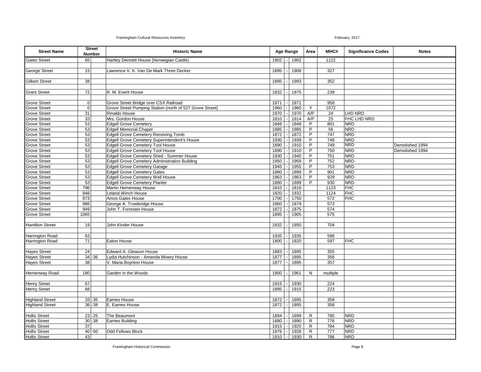| <b>Street Name</b>                           | <b>Street</b><br><b>Number</b> | <b>Historic Name</b>                                          |              | Age Range |              | Area                         | MHC#         | <b>Significance Codes</b> | <b>Notes</b>    |
|----------------------------------------------|--------------------------------|---------------------------------------------------------------|--------------|-----------|--------------|------------------------------|--------------|---------------------------|-----------------|
| <b>Gates Street</b>                          | 65                             | Hartley Dennett House (Norwegian Castle)                      | 1902         |           | 1902         |                              | 1122         |                           |                 |
|                                              |                                |                                                               |              |           |              |                              |              |                           |                 |
| <b>George Street</b>                         | 15                             | Lawrence V. K. Van De Mark Three Decker                       | 1895         |           | 1908         |                              | 327          |                           |                 |
| <b>Gilbert Street</b>                        | 38                             |                                                               | 1895         |           | 1993         |                              | 352          |                           |                 |
|                                              |                                |                                                               |              |           |              |                              |              |                           |                 |
| <b>Grant Street</b>                          | 72                             | R. M. Everit House                                            | 1832         |           | 1875         |                              | 239          |                           |                 |
|                                              |                                |                                                               |              |           |              |                              |              |                           |                 |
| <b>Grove Street</b>                          | $\overline{0}$                 | Grove Street Bridge over CSX Railroad                         | 1871         |           | 1871         |                              | 958          |                           |                 |
| <b>Grove Street</b>                          | $\overline{0}$                 | Grove Street Pumping Station (north of 527 Grove Street)      | 1960         |           | 1960         | Y                            | 1072         |                           |                 |
| <b>Grove Street</b>                          | 31                             | Rinaldo House                                                 | 1970         |           | 1970         | A/P                          | 24           | LHD NRD                   |                 |
| <b>Grove Street</b>                          | 33                             | Mrs. Gordon House                                             | 1810         |           | 1814         | A/P                          | 25           | <b>FHC LHD NRD</b>        |                 |
| <b>Grove Street</b>                          | 53                             | <b>Edgell Grove Cemetery</b>                                  | 1848         |           | 1848         | P                            | 801          | <b>NRD</b>                |                 |
| <b>Grove Street</b>                          | 53                             | <b>Edgell Memorial Chapel</b>                                 | 1885         |           | 1885         | P                            | 56           | <b>NRD</b>                |                 |
| <b>Grove Street</b>                          | 53                             | Edgell Grove Cemetery Receiving Tomb                          | 1872         |           | 1872         | P                            | 747          | <b>NRD</b>                |                 |
| <b>Grove Street</b>                          | 53                             | Edgell Grove Cemetery Superintendent's House                  | 1930         |           | 1939         | P                            | 748          | <b>NRD</b>                |                 |
| <b>Grove Street</b>                          | 53                             | <b>Edgell Grove Cemetery Tool House</b>                       | 1890         |           | 1910         | P                            | 749          | <b>NRD</b>                | Demolished 1994 |
| <b>Grove Street</b>                          | 53                             | <b>Edgell Grove Cemetery Tool House</b>                       | 1890         |           | 1910         | P                            | 750          | <b>NRD</b>                | Demolished 1994 |
| <b>Grove Street</b>                          | 53                             | Edgell Grove Cemetery Shed - Summer House                     | 1930         |           | 1940         | P                            | 751          | <b>NRD</b>                |                 |
| <b>Grove Street</b>                          | 53                             | Edgell Grove Cemetery Administration Building                 | 1950         |           | 1959         | P                            | 752          | <b>NRD</b>                |                 |
| <b>Grove Street</b>                          | 53                             | <b>Edgell Grove Cemetery Garage</b>                           | 1945         |           | 1955         | P                            | 753          | <b>NRD</b>                |                 |
| <b>Grove Street</b><br><b>Grove Street</b>   | 53                             | <b>Edgell Grove Cemetery Gates</b>                            | 1880         |           | 1899         | P                            | 901<br>929   | <b>NRD</b><br><b>NRD</b>  |                 |
|                                              | 53<br>53                       | <b>Edgell Grove Cemetery Well House</b>                       | 1863<br>1880 |           | 1863<br>1899 | P<br>P                       | 930          | <b>NRD</b>                |                 |
| <b>Grove Street</b><br><b>Grove Street</b>   | 796                            | <b>Edgell Grove Cemetery Planter</b><br>Martin Hemenway House |              |           |              |                              |              | <b>FHC</b>                |                 |
| <b>Grove Street</b>                          | 846                            | Leland Winch House                                            | 1810<br>1820 |           | 1816<br>1832 |                              | 1123<br>1124 | <b>FHC</b>                |                 |
| <b>Grove Street</b>                          | 873                            | Amos Gates House                                              | 1700         |           | 1750         |                              | 572          | <b>FHC</b>                |                 |
| Grove Street                                 | 886                            | George A. Trowbridge House                                    | 1860         |           | 1879         |                              | 573          |                           |                 |
| <b>Grove Street</b>                          | 949                            | John T. Forrester House                                       | 1872         |           | 1875         |                              | 574          |                           |                 |
| <b>Grove Street</b>                          | 1065                           |                                                               | 1895         |           | 1905         |                              | 575          |                           |                 |
|                                              |                                |                                                               |              |           |              |                              |              |                           |                 |
| <b>Hamilton Street</b>                       | 19                             | John Kinder House                                             | 1832         |           | 1850         |                              | 704          |                           |                 |
|                                              |                                |                                                               |              |           |              |                              |              |                           |                 |
| <b>Harrington Road</b>                       | 63                             |                                                               | 1935         |           | 1935         |                              | 598          |                           |                 |
| <b>Harrington Road</b>                       | 71                             | Eaton House                                                   | 1800         |           | 1820         |                              | 597          | <b>FHC</b>                |                 |
|                                              |                                |                                                               |              |           |              |                              |              |                           |                 |
| <b>Hayes Street</b>                          | 24                             | Edward A. Gleason House                                       | 1883         |           | 1895         |                              | 355          |                           |                 |
| <b>Hayes Street</b>                          | $34 - 36$                      | Lydia Hutchinson - Amanda Mowry House                         | 1877         |           | 1895         |                              | 356          |                           |                 |
| <b>Hayes Street</b>                          | 38                             | V. Maria Boynton House                                        | 1877         |           | 1895         |                              | 357          |                           |                 |
|                                              |                                |                                                               |              |           |              |                              |              |                           |                 |
| Hemenway Road                                | 180                            | Garden in the Woods                                           | 1900         |           | 1961         | N                            | multiple     |                           |                 |
|                                              |                                |                                                               |              |           |              |                              |              |                           |                 |
| <b>Henry Street</b>                          | 67                             |                                                               | 1915         |           | 1930         |                              | 224          |                           |                 |
| <b>Henry Street</b>                          | 68                             |                                                               | 1895         |           | 1915         |                              | 223          |                           |                 |
|                                              |                                |                                                               |              |           |              |                              |              |                           |                 |
| <b>Highland Street</b>                       | $33 - 35$                      | Eames House                                                   | 1872         |           | 1895         |                              | 359          |                           |                 |
| <b>Highland Street</b>                       | $36 - 38$                      | E. Eames House                                                | 1872         |           | 1895         |                              | 358          |                           |                 |
|                                              |                                |                                                               |              |           |              |                              |              |                           |                 |
| <b>Hollis Street</b>                         | $23 - 25$                      | The Beaumont                                                  | 1894         |           | 1899         | $\mathsf{R}$                 | 785          | <b>NRD</b>                |                 |
| <b>Hollis Street</b>                         | $30 - 38$                      | Eames Building                                                | 1880         |           | 1890         | R                            | 776          | <b>NRD</b>                |                 |
| <b>Hollis Street</b>                         | $\overline{37}$                |                                                               | 1915         |           | 1925         | R                            | 784          | <b>NRD</b>                |                 |
| <b>Hollis Street</b><br><b>Hollis Street</b> | $40 - 50$<br>43                | <b>Odd Fellows Block</b>                                      | 1876<br>1910 |           | 1928<br>1930 | $\mathsf{R}$<br>$\mathsf{R}$ | 777<br>786   | <b>NRD</b><br><b>NRD</b>  |                 |
|                                              |                                |                                                               |              |           |              |                              |              |                           |                 |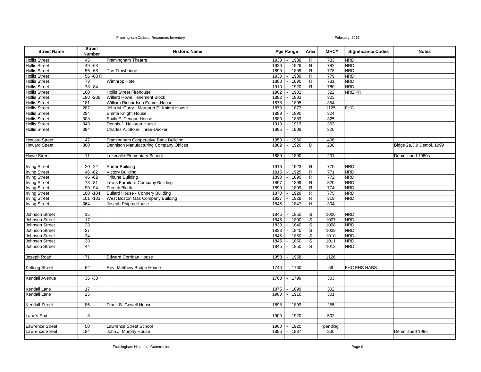| <b>Street Name</b>     | <b>Street</b><br><b>Number</b> | <b>Historic Name</b>                     |      | <b>Age Range</b> |              | Area           | MHC#       | <b>Significance Codes</b> | <b>Notes</b>               |
|------------------------|--------------------------------|------------------------------------------|------|------------------|--------------|----------------|------------|---------------------------|----------------------------|
| <b>Hollis Street</b>   | 45                             | Framingham Theatre                       | 1938 |                  | 1938         | $\mathsf{R}$   | 783        | <b>NRD</b>                |                            |
| <b>Hollis Street</b>   | $49 - 63$                      |                                          | 1926 |                  | 1926         | R              | 782        | <b>NRD</b>                |                            |
| <b>Hollis Street</b>   | $56 - 68$                      | The Trowbridge                           | 1899 |                  | 1899         | R              | 778        | <b>NRD</b>                |                            |
| <b>Hollis Street</b>   | $56 - 68 R$                    |                                          | 1930 |                  | 1939         | R              | 779        | <b>NRD</b>                |                            |
| <b>Hollis Street</b>   | 73                             | <b>Winthrop Hotel</b>                    | 1880 |                  | 1890         | $\mathsf{R}$   | 781        | <b>NRD</b>                |                            |
| <b>Hollis Street</b>   | $78 - 84$                      |                                          | 1910 |                  | 1920         | R              | 780        | <b>NRD</b>                |                            |
| <b>Hollis Street</b>   | 160                            | <b>Hollis Street Firehouse</b>           | 1902 |                  | 1902         |                | 322        | NRE PR                    |                            |
| <b>Hollis Street</b>   | 180 - 208                      | <b>Willard Howe Tenement Block</b>       | 1882 |                  | 1883         |                | 323        |                           |                            |
| <b>Hollis Street</b>   | 181                            | William Richardson Eames House           | 1878 |                  | 1895         |                | 354        |                           |                            |
| <b>Hollis Street</b>   | 287                            | John M. Curry - Margaret E. Knight House | 1873 |                  | 1873         |                | 1125       | <b>FHC</b>                |                            |
| <b>Hollis Street</b>   | 294                            | Emma Knight House                        | 1889 |                  | 1890         |                | 324        |                           |                            |
| <b>Hollis Street</b>   | 308                            | Emily E. Teague House                    | 1880 |                  | 1889         |                | 325        |                           |                            |
| <b>Hollis Street</b>   | 343                            | Dennis J. Halloran House                 | 1913 |                  | 1913         |                | 353        |                           |                            |
| <b>Hollis Street</b>   | 394                            | Charles A. Stone Three-Decker            | 1895 |                  | 1908         |                | 326        |                           |                            |
|                        |                                |                                          |      |                  |              |                |            |                           |                            |
|                        |                                |                                          |      |                  |              |                |            |                           |                            |
| <b>Howard Street</b>   | 47<br>300                      | Framingham Cooperative Bank Building     | 1950 |                  | 1960<br>1920 |                | 406<br>238 |                           |                            |
| <b>Howard Street</b>   |                                | Dennison Manufacturing Company Offices   | 1882 |                  |              | D              |            |                           | Bldgs 2a, 3, 9 Demol. 1999 |
| <b>Howe Street</b>     | 11                             |                                          |      |                  |              |                |            |                           | Demolished 1980s           |
|                        |                                | Lokerville Elementary School             | 1889 |                  | 1890         |                | 201        |                           |                            |
|                        |                                |                                          |      |                  |              |                |            |                           |                            |
| <b>Irving Street</b>   | $20 - 22$                      | Porter Building                          | 1916 |                  | 1923         | $\mathsf{R}$   | 770        | <b>NRD</b>                |                            |
| <b>Irving Street</b>   | $46 - 82$                      | <b>Victory Building</b>                  | 1915 |                  | 1925         | $\mathsf{R}$   | 771        | <b>NRD</b>                |                            |
| <b>Irving Street</b>   | $46 - 82$                      | Tribune Building                         | 1890 |                  | 1890         | $\mathsf{R}$   | 772        | <b>NRD</b>                |                            |
| <b>Irving Street</b>   | $73 - 81$                      | Lewis Furniture Company Building         | 1897 |                  | 1899         | $\mathsf{R}$   | 320        | <b>NRD</b>                |                            |
| <b>Irving Street</b>   | $90 - 94$                      | French Block                             | 1890 |                  | 1899         | $\mathsf{R}$   | 774        | <b>NRD</b>                |                            |
| <b>Irving Street</b>   | $100 - 104$                    | Bullard House - Connery Building         | 1870 |                  | 1929         | R              | 775        | <b>NRD</b>                |                            |
| <b>Irving Street</b>   | $101 - 103$                    | West Boston Gas Company Building         | 1927 |                  | 1928         | R              | 319        | <b>NRD</b>                |                            |
| <b>Irving Street</b>   | 364                            | Joseph Phipps House                      | 1845 |                  | 1847         | H              | 304        |                           |                            |
|                        |                                |                                          |      |                  |              |                |            |                           |                            |
| <b>Johnson Street</b>  | 15                             |                                          | 1845 |                  | 1850         | S              | 1006       | <b>NRD</b>                |                            |
| <b>Johnson Street</b>  | 17                             |                                          | 1845 |                  | 1890         | $\overline{s}$ | 1007       | <b>NRD</b>                |                            |
| <b>Johnson Street</b>  | 23                             |                                          | 1833 |                  | 1840         | S              | 1008       | <b>NRD</b>                |                            |
| Johnson Street         | $\overline{27}$                |                                          | 1833 |                  | 1840         | S              | 1009       | <b>NRD</b>                |                            |
| Johnson Street         | 34                             |                                          | 1845 |                  | 1850         | S              | 1010       | <b>NRD</b>                |                            |
| Johnson Street         | 38                             |                                          | 1845 |                  | 1850         | $\overline{s}$ | 1011       | <b>NRD</b>                |                            |
| <b>Johnson Street</b>  | 44                             |                                          | 1845 |                  | 1850         | S              | 1012       | <b>NRD</b>                |                            |
|                        |                                |                                          |      |                  |              |                |            |                           |                            |
| Joseph Road            | 71                             | <b>Edward Corrigan House</b>             | 1958 |                  | 1958         |                | 1126       |                           |                            |
|                        |                                |                                          |      |                  |              |                |            |                           |                            |
| <b>Kellogg Street</b>  | 62                             | Rev. Matthew Bridge House                | 1740 |                  | 1760         |                | 59         | FHC FHS HABS              |                            |
|                        |                                |                                          |      |                  |              |                |            |                           |                            |
| Kendall Avenue         | $36 - 38$                      |                                          | 1700 |                  | 1799         |                | 303        |                           |                            |
|                        |                                |                                          |      |                  |              |                |            |                           |                            |
| Kendall Lane           | 17                             |                                          | 1875 |                  | 1899         |                | 302        |                           |                            |
| <b>Kendall Lane</b>    | 25                             |                                          | 1900 |                  | 1910         |                | 301        |                           |                            |
|                        |                                |                                          |      |                  |              |                |            |                           |                            |
| <b>Kendall Street</b>  | 86                             | Frank B. Gowell House                    | 1898 |                  | 1899         |                | 255        |                           |                            |
|                        |                                |                                          |      |                  |              |                |            |                           |                            |
| ane's End              | 8 <sup>1</sup>                 |                                          | 1900 |                  | 1920         |                | 502        |                           |                            |
|                        |                                |                                          |      |                  |              |                |            |                           |                            |
| awrence Street         | 50                             | Lawrence Street School                   | 1900 |                  | 1920         |                | pending    |                           |                            |
| <b>Lawrence Street</b> | 184                            | John J. Murphy House                     | 1886 |                  | 1887         |                | 236        |                           | Demolished 1996            |
|                        |                                |                                          |      |                  |              |                |            |                           |                            |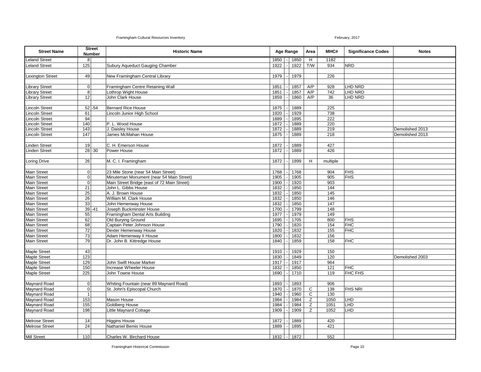| <b>Street Name</b>                             | <b>Street</b><br>Number    | <b>Historic Name</b>                          |                  | <b>Age Range</b> |              |     |                  | Area           | MHC#            | <b>Significance Codes</b> | <b>Notes</b> |
|------------------------------------------------|----------------------------|-----------------------------------------------|------------------|------------------|--------------|-----|------------------|----------------|-----------------|---------------------------|--------------|
| eland Street                                   | 8 <sup>1</sup>             |                                               | 1850             |                  | 1850         | H   | 1182             |                |                 |                           |              |
| eland Street                                   | 125                        | Subury Aqueduct Gauging Chamber               | 1922             |                  | 1922         | T/W | 934              | <b>NRD</b>     |                 |                           |              |
|                                                |                            |                                               |                  |                  |              |     |                  |                |                 |                           |              |
| <b>Lexington Street</b>                        | 49                         | New Framingham Central Library                | 1979             |                  | 1979         |     | 226              |                |                 |                           |              |
|                                                |                            |                                               |                  |                  |              |     |                  |                |                 |                           |              |
| Library Street                                 | $\overline{0}$             | Framingham Centre Retaining Wall              | 1851             |                  | 1857         | A/P | 928              | LHD NRD        |                 |                           |              |
| Library Street                                 | $\overline{8}$             | Lothrop Wight House                           | 1851             |                  | 1857         | A/P | 742              | <b>LHD NRD</b> |                 |                           |              |
| <b>Library Street</b>                          | 12                         | John Clark House                              | 1859             |                  | 1860         | A/P | 36               | <b>LHD NRD</b> |                 |                           |              |
|                                                |                            |                                               |                  |                  |              |     |                  |                |                 |                           |              |
| incoln Street                                  | $52 - 54$                  | <b>Bernard Rice House</b>                     | 1875             |                  | 1889         |     | 225              |                |                 |                           |              |
| incoln Street                                  | 61                         | Lincoln Junior High School                    | 1920             |                  | 1929         |     | 738              |                |                 |                           |              |
| incoln Street                                  | 94                         |                                               | 1889             |                  | 1895         |     | 222              |                |                 |                           |              |
| incoln Street                                  | 140                        | P. L. Wood House                              | 1872             |                  | 1889         |     | 220              |                |                 |                           |              |
| incoln Street                                  | 143                        | J. Daisley House                              | 1872             |                  | 1889         |     | 219              |                | Demolished 2013 |                           |              |
| incoln Street                                  | 147                        | James McMahan House                           | 1875             |                  | 1889         |     | $\overline{218}$ |                | Demolished 2013 |                           |              |
|                                                |                            |                                               |                  |                  |              |     |                  |                |                 |                           |              |
| <b>Linden Street</b>                           | 19                         | C. H. Emerson House                           | 1872             |                  | 1889         |     | 427              |                |                 |                           |              |
| inden Street                                   | $28 - 30$                  | Power House                                   | 1872             |                  | 1889         |     | 426              |                |                 |                           |              |
|                                                |                            |                                               |                  |                  |              |     |                  |                |                 |                           |              |
| <b>Loring Drive</b>                            | 26                         | M. C. I. Framingham                           | 1872             |                  | 1899         | H   | multiple         |                |                 |                           |              |
|                                                |                            |                                               |                  |                  |              |     |                  |                |                 |                           |              |
| <b>Main Street</b>                             | $\overline{0}$             | 23 Mile Stone (near 54 Main Street)           | 1768             |                  | 1768         |     | 904              | <b>FHS</b>     |                 |                           |              |
| <b>Main Street</b>                             | $\overline{0}$             | Minuteman Monument (near 54 Main Street)      | 1905             |                  | 1905         |     | 905              | <b>FHS</b>     |                 |                           |              |
| <b>Main Street</b>                             | $\overline{0}$             | Main Street Bridge (east of 72 Main Street)   | 1900             |                  | 1920         |     | 903              |                |                 |                           |              |
| <b>Main Street</b>                             | 21                         | John L. Gibbs House                           | 1832             |                  | 1850         |     | 144              |                |                 |                           |              |
| <b>Main Street</b>                             | $\overline{25}$            | A. J. Brown House                             | 1832             |                  | 1850         |     | 145              |                |                 |                           |              |
| <b>Main Street</b>                             | 26                         | William M. Clark House                        | 1832             |                  | 1850         |     | 146              |                |                 |                           |              |
| <b>Main Street</b>                             | 33                         | John Hemenway House                           | 1832             |                  | 1850         |     | 147              |                |                 |                           |              |
| <b>Main Street</b>                             | $39 - 41$                  | Joseph Buckminster House                      | 1700             |                  | 1799         |     | 148              |                |                 |                           |              |
| <b>Main Street</b>                             | 55                         | Framingham Dental Arts Building               | 1977             |                  | 1979         |     | 149              |                |                 |                           |              |
| <b>Main Street</b>                             | 62                         | Old Burying Ground                            | 1695             |                  | 1705         |     | 800              | <b>FHS</b>     |                 |                           |              |
| <b>Main Street</b>                             | 68                         | Captain Peter Johnson House                   | 1790             |                  | 1820         |     | 154              | <b>FHC</b>     |                 |                           |              |
| <b>Main Street</b>                             | 72                         | Dexter Hemenway House                         | 1820             |                  | 1832         |     | 155              | <b>FHC</b>     |                 |                           |              |
| <b>Main Street</b>                             | 73                         | Adam Hemenway II House                        | 1800             |                  | 1832         |     | 156              |                |                 |                           |              |
| <b>Main Street</b>                             | 79                         | Dr. John B. Kittredge House                   | 1840             |                  | 1859         |     | 158              | <b>FHC</b>     |                 |                           |              |
|                                                |                            |                                               |                  |                  |              |     |                  |                |                 |                           |              |
| <b>Maple Street</b>                            | 43                         |                                               | 1910             |                  | 1929         |     | 150              |                |                 |                           |              |
| Maple Street                                   | 123                        |                                               | 1830             |                  | 1849         |     | 120              |                | Demolished 2003 |                           |              |
| Maple Street                                   | 129                        | John Swift House Marker                       | 1917             |                  | 1917         |     | 964              |                |                 |                           |              |
| <b>Maple Street</b>                            | 150                        | Increase Wheeler House                        | 1832             |                  | 1850         |     | 121              | <b>FHC</b>     |                 |                           |              |
| <b>Maple Street</b>                            | 225                        | John Towne House                              | 1690             |                  | 1710         |     | 119              | FHC FHS        |                 |                           |              |
|                                                |                            |                                               |                  |                  |              |     |                  |                |                 |                           |              |
| <b>Maynard Road</b>                            | $\overline{0}$             | Whiting Fountain (near 89 Maynard Road)       | 1893             |                  | 1893         |     | 906              |                |                 |                           |              |
| <b>Maynard Road</b>                            | $\Omega$<br>$\overline{1}$ | St. John's Episcopal Church                   | 1870             |                  | 1870         | C   | 138              | <b>FHS NRI</b> |                 |                           |              |
| <b>Maynard Road</b>                            |                            |                                               | 1940             |                  | 1960         | C   | 130              |                |                 |                           |              |
| <b>Maynard Road</b>                            | 153                        | Mason House                                   | 1984             |                  | 1984         | Z   | 1050             | LHD            |                 |                           |              |
| <b>Maynard Road</b>                            | 155                        | Goldberg House                                | 1984             |                  | 1984         | Z   | 1051             | LHD            |                 |                           |              |
| <b>Maynard Road</b>                            | 198                        | <b>Little Maynard Cottage</b>                 | 1909             |                  | 1909         | Ζ   | 1052             | LHD            |                 |                           |              |
|                                                |                            |                                               |                  |                  |              |     |                  |                |                 |                           |              |
| <b>Melrose Street</b><br><b>Melrose Street</b> | 14<br>$\overline{24}$      | <b>Higgins House</b><br>Nathaniel Bemis House | 1872<br>1889     |                  | 1889<br>1895 |     | 420<br>421       |                |                 |                           |              |
|                                                |                            |                                               |                  |                  |              |     |                  |                |                 |                           |              |
| <b>Mill Street</b>                             | 110                        | Charles W. Birchard House                     | $1832$ $\vert$ - |                  | 1872         |     | 552              |                |                 |                           |              |
|                                                |                            |                                               |                  |                  |              |     |                  |                |                 |                           |              |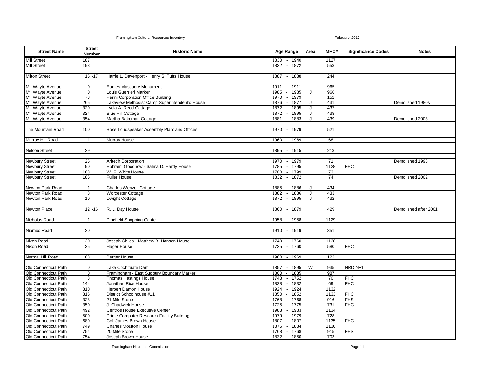| <b>Street Name</b>    | <b>Street</b><br><b>Number</b> | <b>Historic Name</b>                           |      | Age Range    |      |   |                 |            |                       |  |  | Area | MHC# | <b>Significance Codes</b> | <b>Notes</b> |
|-----------------------|--------------------------------|------------------------------------------------|------|--------------|------|---|-----------------|------------|-----------------------|--|--|------|------|---------------------------|--------------|
| <b>Mill Street</b>    | 187                            |                                                | 1830 |              | 1940 |   | 1127            |            |                       |  |  |      |      |                           |              |
| <b>Mill Street</b>    | 198                            |                                                | 1832 |              | 1872 |   | 553             |            |                       |  |  |      |      |                           |              |
|                       |                                |                                                |      |              |      |   |                 |            |                       |  |  |      |      |                           |              |
| <b>Milton Street</b>  | $15 - 17$                      | Harrie L. Davenport - Henry S. Tufts House     | 1887 |              | 1888 |   | 244             |            |                       |  |  |      |      |                           |              |
|                       |                                |                                                |      |              |      |   |                 |            |                       |  |  |      |      |                           |              |
| Mt. Wayte Avenue      | $\overline{0}$                 | <b>Eames Massacre Monument</b>                 | 1911 |              | 1911 |   | 965             |            |                       |  |  |      |      |                           |              |
| Mt. Wayte Avenue      | $\overline{0}$                 | Louis Guerrieri Marker                         | 1985 |              | 1985 | J | 966             |            |                       |  |  |      |      |                           |              |
| Mt. Wayte Avenue      | 73                             | Perini Corporation Office Building             | 1970 |              | 1979 |   | 152             |            |                       |  |  |      |      |                           |              |
| Mt. Wayte Avenue      | 265                            | Lakeview Methodist Camp Superintendent's House | 1876 |              | 1877 | J | 431             |            | Demolished 1980s      |  |  |      |      |                           |              |
| Mt. Wayte Avenue      | 320                            | Lydia A. Reed Cottage                          | 1872 |              | 1895 | J | 437             |            |                       |  |  |      |      |                           |              |
| Mt. Wayte Avenue      | 324                            | <b>Blue Hill Cottage</b>                       | 1872 |              | 1895 | J | 438             |            |                       |  |  |      |      |                           |              |
| Mt. Wayte Avenue      | 354                            | Martha Bakeman Cottage                         | 1881 |              | 1883 | J | 439             |            | Demolished 2003       |  |  |      |      |                           |              |
|                       |                                |                                                |      |              |      |   |                 |            |                       |  |  |      |      |                           |              |
| The Mountain Road     | 100                            | Bose Loudspeaker Assembly Plant and Offices    | 1970 |              | 1979 |   | 521             |            |                       |  |  |      |      |                           |              |
|                       |                                |                                                |      |              |      |   |                 |            |                       |  |  |      |      |                           |              |
| Murray Hill Road      | $\mathbf{1}$                   | Murray House                                   | 1960 |              | 1969 |   | 68              |            |                       |  |  |      |      |                           |              |
|                       |                                |                                                |      |              |      |   |                 |            |                       |  |  |      |      |                           |              |
| <b>Nelson Street</b>  | 29                             |                                                | 1895 |              | 1915 |   | 213             |            |                       |  |  |      |      |                           |              |
|                       |                                |                                                |      |              |      |   |                 |            |                       |  |  |      |      |                           |              |
| <b>Newbury Street</b> | 25                             | <b>Aritech Corporation</b>                     | 1970 |              | 1979 |   | $\overline{71}$ |            | Demolished 1993       |  |  |      |      |                           |              |
| <b>Newbury Street</b> | 90                             | Ephraim Goodnow - Salma D. Hardy House         | 1785 |              | 1795 |   | 1128            | <b>FHC</b> |                       |  |  |      |      |                           |              |
| <b>Newbury Street</b> | 163                            | W. F. White House                              | 1700 |              | 1799 |   | 73              |            |                       |  |  |      |      |                           |              |
| <b>Newbury Street</b> | 185                            | <b>Fuller House</b>                            | 1832 |              | 1872 |   | 74              |            | Demolished 2002       |  |  |      |      |                           |              |
|                       |                                |                                                |      |              |      |   |                 |            |                       |  |  |      |      |                           |              |
| Newton Park Road      | $\mathbf{1}$                   | <b>Charles Wenzell Cottage</b>                 | 1885 |              | 1886 | J | 434             |            |                       |  |  |      |      |                           |              |
| Newton Park Road      | 8 <sup>1</sup>                 | <b>Worcester Cottage</b>                       | 1882 |              | 1886 | J | 433             |            |                       |  |  |      |      |                           |              |
| Newton Park Road      | 10                             | <b>Dwight Cottage</b>                          | 1872 |              | 1895 | J | 432             |            |                       |  |  |      |      |                           |              |
|                       |                                |                                                |      |              |      |   |                 |            |                       |  |  |      |      |                           |              |
| Newton Place          | $12 - 16$                      | R. L. Day House                                | 1860 |              | 1879 |   | 429             |            | Demolished after 2001 |  |  |      |      |                           |              |
|                       |                                |                                                |      |              |      |   |                 |            |                       |  |  |      |      |                           |              |
| Nicholas Road         | $\mathbf{1}$                   | <b>Pinefield Shopping Center</b>               | 1958 |              | 1958 |   | 1129            |            |                       |  |  |      |      |                           |              |
|                       |                                |                                                |      |              |      |   |                 |            |                       |  |  |      |      |                           |              |
| Nipmuc Road           | 20                             |                                                | 1910 |              | 1919 |   | 351             |            |                       |  |  |      |      |                           |              |
|                       |                                |                                                |      |              |      |   |                 |            |                       |  |  |      |      |                           |              |
| Nixon Road            | 20                             | Joseph Childs - Matthew B. Hanson House        | 1740 |              | 1760 |   | 1130            |            |                       |  |  |      |      |                           |              |
| Nixon Road            | 35                             | <b>Hager House</b>                             | 1725 |              | 1760 |   | 580             | <b>FHC</b> |                       |  |  |      |      |                           |              |
|                       |                                |                                                |      |              |      |   |                 |            |                       |  |  |      |      |                           |              |
| Normal Hill Road      | 88                             | <b>Berger House</b>                            | 1960 |              | 1969 |   | 122             |            |                       |  |  |      |      |                           |              |
|                       |                                |                                                |      |              |      |   |                 |            |                       |  |  |      |      |                           |              |
| Old Connecticut Path  | $\Omega$                       | Lake Cochituate Dam                            | 1857 |              | 1895 | W | 935             | NRD NRI    |                       |  |  |      |      |                           |              |
| Old Connecticut Path  | $\overline{0}$                 | Framingham - East Sudbury Boundary Marker      | 1800 |              | 1835 |   | 987             |            |                       |  |  |      |      |                           |              |
| Old Connecticut Path  | 8 <sup>1</sup>                 | <b>Thomas Hastings House</b>                   | 1748 |              | 1752 |   | 70              | <b>FHC</b> |                       |  |  |      |      |                           |              |
| Old Connecticut Path  | 144                            | Jonathan Rice House                            | 1828 |              | 1832 |   | 69              | <b>FHC</b> |                       |  |  |      |      |                           |              |
| Old Connecticut Path  | 310                            | <b>Herbert Damon House</b>                     | 1924 |              | 1924 |   | 1132            |            |                       |  |  |      |      |                           |              |
| Old Connecticut Path  | 315                            | District Schoolhouse #11                       | 1850 |              | 1852 |   | 1133            | <b>FHC</b> |                       |  |  |      |      |                           |              |
| Old Connecticut Path  | 328                            | 21 Mile Stone                                  | 1768 |              | 1768 |   | 916             | <b>FHS</b> |                       |  |  |      |      |                           |              |
| Old Connecticut Path  | 350                            | J. Chadwick House                              | 1725 |              | 1775 |   | 731             | <b>FHC</b> |                       |  |  |      |      |                           |              |
| Old Connecticut Path  | 492                            | Centros House Executive Center                 | 1983 |              | 1983 |   | 1134            |            |                       |  |  |      |      |                           |              |
| Old Connecticut Path  | 500                            | Prime Computer Research Facility Building      | 1979 |              | 1979 |   | 728             |            |                       |  |  |      |      |                           |              |
| Old Connecticut Path  | 680                            | Col. James Brown House                         | 1807 |              | 1807 |   | 1135            | <b>FHC</b> |                       |  |  |      |      |                           |              |
| Old Connecticut Path  | 749                            | <b>Charles Moulton House</b>                   | 1875 |              | 1884 |   | 1136            |            |                       |  |  |      |      |                           |              |
| Old Connecticut Path  | 754                            | 20 Mile Stone                                  | 1768 |              | 1768 |   | 915             | <b>FHS</b> |                       |  |  |      |      |                           |              |
| Old Connecticut Path  | 754                            | Joseph Brown House                             | 1832 | $\mathbf{I}$ | 1850 |   | 703             |            |                       |  |  |      |      |                           |              |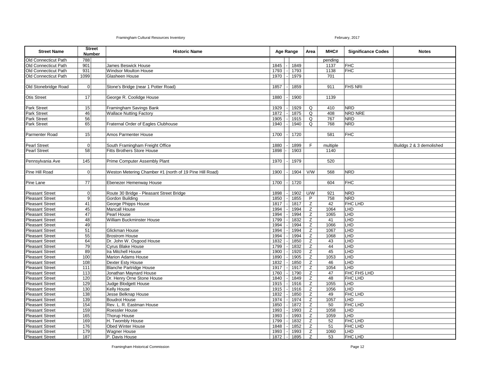| <b>Street Name</b>     | <b>Number</b>      | <b>Street</b> | <b>Historic Name</b>                                    |      | Age Range |      |             |          | Area           | MHC#                     | <b>Significance Codes</b> | <b>Notes</b> |
|------------------------|--------------------|---------------|---------------------------------------------------------|------|-----------|------|-------------|----------|----------------|--------------------------|---------------------------|--------------|
| Old Connecticut Path   | 788                |               |                                                         |      |           |      |             | pending  |                |                          |                           |              |
| Old Connecticut Path   | 901                |               | James Beswick House                                     | 1845 |           | 1849 |             | 1137     | <b>FHC</b>     |                          |                           |              |
| Old Connecticut Path   | 931                |               | <b>Windsor Moulton House</b>                            | 1793 |           | 1793 |             | 1138     | <b>FHC</b>     |                          |                           |              |
| Old Connecticut Path   | 1099               |               | Glasheen House                                          | 1970 |           | 1979 |             | 701      |                |                          |                           |              |
|                        |                    |               |                                                         |      |           |      |             |          |                |                          |                           |              |
| Old Stonebridge Road   | $\pmb{\mathsf{O}}$ |               | Stone's Bridge (near 1 Potter Road)                     | 1857 |           | 1859 |             | 911      | <b>FHS NRI</b> |                          |                           |              |
|                        |                    |               |                                                         |      |           |      |             |          |                |                          |                           |              |
| <b>Otis Street</b>     | 17                 |               | George R. Coolidge House                                | 1880 |           | 1900 |             | 1139     |                |                          |                           |              |
|                        |                    |               |                                                         |      |           |      |             |          |                |                          |                           |              |
| <b>Park Street</b>     | 15                 |               | Framingham Savings Bank                                 | 1929 |           | 1929 | $\mathsf Q$ | 410      | <b>NRD</b>     |                          |                           |              |
| Park Street            | 46                 |               | <b>Wallace Nutting Factory</b>                          | 1872 |           | 1875 | Q           | 408      | NRD NRE        |                          |                           |              |
| Park Street            | $\overline{56}$    |               |                                                         | 1905 |           | 1915 | Q           | 767      | <b>NRD</b>     |                          |                           |              |
| <b>Park Street</b>     | 65                 |               | Fraternal Order of Eagles Clubhouse                     | 1940 |           | 1940 | Q           | 768      | <b>NRD</b>     |                          |                           |              |
|                        |                    |               |                                                         |      |           |      |             |          |                |                          |                           |              |
| Parmenter Road         | 15                 |               | Amos Parmenter House                                    | 1700 |           | 1720 |             | 581      | <b>FHC</b>     |                          |                           |              |
|                        |                    |               |                                                         |      |           |      |             |          |                |                          |                           |              |
| <b>Pearl Street</b>    | $\mathbf{O}$       |               | South Framingham Freight Office                         | 1880 |           | 1899 | F           | multiple |                | Buildgs 2 & 3 demolished |                           |              |
| <b>Pearl Street</b>    | 58                 |               | <b>Fitts Brothers Store House</b>                       | 1898 |           | 1903 |             | 1140     |                |                          |                           |              |
|                        |                    |               |                                                         |      |           |      |             |          |                |                          |                           |              |
| Pennsylvania Ave       | 145                |               | Prime Computer Assembly Plant                           | 1970 |           | 1979 |             | 520      |                |                          |                           |              |
|                        |                    |               |                                                         |      |           |      |             |          |                |                          |                           |              |
| Pine Hill Road         | $\mathbf{O}$       |               | Weston Metering Chamber #1 (north of 19 Pine Hill Road) | 1900 |           | 1904 | V/W         | 568      | <b>NRD</b>     |                          |                           |              |
|                        |                    |               |                                                         |      |           |      |             |          |                |                          |                           |              |
| Pine Lane              | 77                 |               | Ebenezer Hemenway House                                 | 1700 |           | 1720 |             | 604      | <b>FHC</b>     |                          |                           |              |
|                        |                    |               |                                                         |      |           |      |             |          |                |                          |                           |              |
| <b>Pleasant Street</b> | $\pmb{0}$          |               | Route 30 Bridge - Pleasant Street Bridge                | 1898 |           | 1902 | U/W         | 921      | <b>NRD</b>     |                          |                           |              |
| <b>Pleasant Street</b> | 9                  |               | Gordon Building                                         | 1850 |           | 1855 | P           | 758      | <b>NRD</b>     |                          |                           |              |
| <b>Pleasant Street</b> | 41                 |               | George Phipps House                                     | 1817 |           | 1817 | Z           | 42       | FHC LHD        |                          |                           |              |
| <b>Pleasant Street</b> | 45                 |               | <b>Mancall House</b>                                    | 1994 |           | 1994 | Z           | 1064     | LHD            |                          |                           |              |
| <b>Pleasant Street</b> | 47                 |               | Pearl House                                             | 1994 |           | 1994 | Z           | 1065     | LHD            |                          |                           |              |
| <b>Pleasant Street</b> | 48                 |               | William Buckminster House                               | 1799 |           | 1832 | Z           | 41       | LHD            |                          |                           |              |
| <b>Pleasant Street</b> | 49                 |               |                                                         | 1994 |           | 1994 | Z           | 1066     | LHD            |                          |                           |              |
| <b>Pleasant Street</b> | 51                 |               | Glickman House                                          | 1994 |           | 1994 | Z           | 1067     | LHD            |                          |                           |              |
| <b>Pleasant Street</b> | 55                 |               | <b>Brostrom House</b>                                   | 1994 |           | 1994 | Z           | 1068     | LHD            |                          |                           |              |
| <b>Pleasant Street</b> | 64                 |               | Dr. John W. Osgood House                                | 1832 |           | 1850 | Z           | 43       | LHD            |                          |                           |              |
| <b>Pleasant Street</b> | 79                 |               | <b>Cyrus Blake House</b>                                | 1799 |           | 1832 | Z           | 44       | LHD            |                          |                           |              |
| <b>Pleasant Street</b> | 89                 |               | <b>Ira Mitchell House</b>                               | 1900 |           | 1920 | Z           | 45       | LHD            |                          |                           |              |
| <b>Pleasant Street</b> | 100                |               | <b>Marion Adams House</b>                               | 1890 |           | 1905 | Z           | 1053     | LHD            |                          |                           |              |
| <b>Pleasant Street</b> | 108                |               | Dexter Esty House                                       | 1832 |           | 1850 | Z           | 46       | LHD            |                          |                           |              |
| <b>Pleasant Street</b> | 111                |               | <b>Blanche Partridge House</b>                          | 1917 |           | 1917 | Z           | 1054     | LHD            |                          |                           |              |
| <b>Pleasant Street</b> | 113                |               | Jonathan Maynard House                                  | 1760 |           | 1790 | Z           | 47       | FHC FHS LHD    |                          |                           |              |
| <b>Pleasant Street</b> | 120                |               | Dr. Henry Orne Stone House                              | 1840 |           | 1849 | Z           | 48       | FHC LHD        |                          |                           |              |
| <b>Pleasant Street</b> | 129                |               | Judge Blodgett House                                    | 1915 |           | 1916 | Z           | 1055     | LHD            |                          |                           |              |
| <b>Pleasant Street</b> | 130                |               | Kelly House                                             | 1915 |           | 1916 | Z           | 1056     | LHD            |                          |                           |              |
| <b>Pleasant Street</b> | 138                |               | Jesse Belknap House                                     | 1832 |           | 1850 | Z           | 49       | <b>FHC LHD</b> |                          |                           |              |
| <b>Pleasant Street</b> | 139                |               | <b>Boudrot House</b>                                    | 1974 |           | 1974 | Z           | 1057     | LHD            |                          |                           |              |
| <b>Pleasant Street</b> | 154                |               | Rev. L. R. Eastman House                                | 1850 |           | 1872 | Z           | 50       | FHC LHD        |                          |                           |              |
| <b>Pleasant Street</b> | 159                |               | Roessler House                                          | 1993 |           | 1993 | Z           | 1058     | LHD            |                          |                           |              |
| <b>Pleasant Street</b> | 165                |               | <b>Thorup House</b>                                     | 1993 |           | 1993 | Z           | 1059     | LHD            |                          |                           |              |
| <b>Pleasant Street</b> | 169                |               | H. Twombly House                                        | 1799 |           | 1832 | Z           | 52       | FHC LHD        |                          |                           |              |
| <b>Pleasant Street</b> | 176                |               | Obed Winter House                                       | 1848 |           | 1852 | Z           | 51       | FHC LHD        |                          |                           |              |
| <b>Pleasant Street</b> | 179                |               | Wagner House                                            | 1993 |           | 1993 | Z           | 1060     | LHD            |                          |                           |              |
| <b>Pleasant Street</b> | 187                |               | P. Davis House                                          | 1872 |           | 1895 | Z           | 53       | <b>FHC LHD</b> |                          |                           |              |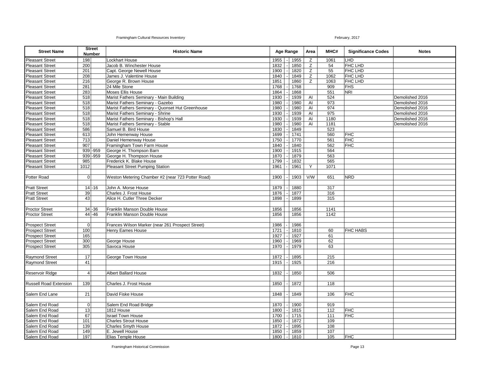| <b>Street Name</b>            |                 | <b>Street</b><br><b>Number</b> | <b>Historic Name</b>                              | <b>Age Range</b> |      | Area | MHC# | <b>Significance Codes</b> | <b>Notes</b>    |
|-------------------------------|-----------------|--------------------------------|---------------------------------------------------|------------------|------|------|------|---------------------------|-----------------|
| <b>Pleasant Street</b>        | 198             |                                | <b>Lockhart House</b>                             | 1955             | 1955 | Z    | 1061 | LHD                       |                 |
| <b>Pleasant Street</b>        | 200             |                                | Jacob B. Winchester House                         | 1832             | 1850 | Z    | 54   | FHC LHD                   |                 |
| <b>Pleasant Street</b>        | 201             |                                | Capt. George Newell House                         | 1900             | 1820 | Z    | 55   | FHC LHD                   |                 |
| <b>Pleasant Street</b>        | 208             |                                | James J. Valentine House                          | 1840             | 1849 | Z    | 1062 | FHC LHD                   |                 |
| <b>Pleasant Street</b>        | 216             |                                | George R. Brown House                             | 1851             | 1860 | Z    | 1063 | FHC LHD                   |                 |
| <b>Pleasant Street</b>        | 281             |                                | 24 Mile Stone                                     | 1768             | 1768 |      | 909  | <b>FHS</b>                |                 |
| <b>Pleasant Street</b>        | 283             |                                | Moses Ellis House                                 | 1864             | 1868 |      | 551  | NRI                       |                 |
| <b>Pleasant Street</b>        | 518             |                                | Marist Fathers Seminary - Main Building           | 1930             | 1939 | AI   | 524  |                           | Demolished 2016 |
| <b>Pleasant Street</b>        | 518             |                                | Marist Fathers Seminary - Gazebo                  | 1980             | 1980 | AI   | 973  |                           | Demolished 2016 |
| <b>Pleasant Street</b>        | 518             |                                | Marist Fathers Seminary - Quonset Hut Greenhouse  | 1980             | 1980 | AI   | 974  |                           | Demolished 2016 |
| <b>Pleasant Street</b>        | 518             |                                | Marist Fathers Seminary - Shrine                  | 1930             | 1939 | AI   | 975  |                           | Demolished 2016 |
| <b>Pleasant Street</b>        | 518             |                                | Marist Fathers Seminary - Bishop's Hall           | 1930             | 1939 | Al   | 1180 |                           | Demolished 2016 |
| <b>Pleasant Street</b>        | 518             |                                | Marist Fathers Seminary - Stable                  | 1980             | 1980 | AI   | 1181 |                           | Demolished 2016 |
| <b>Pleasant Street</b>        | 586             |                                | Samuel B. Bird House                              | 1830             | 1849 |      | 523  |                           |                 |
| <b>Pleasant Street</b>        | 613             |                                | John Hemenway House                               | 1699             | 1741 |      | 560  | <b>FHC</b>                |                 |
| <b>Pleasant Street</b>        | 713             |                                | Daniel Hemenway House                             | 1750             | 1770 |      | 561  | <b>FHC</b>                |                 |
| <b>Pleasant Street</b>        | 907             |                                | Framingham Town Farm House                        | 1840             | 1840 |      | 562  | <b>FHC</b>                |                 |
| <b>Pleasant Street</b>        |                 | $939 - 959$                    | George H. Thompson Barn                           | 1900             | 1915 |      | 564  |                           |                 |
| <b>Pleasant Street</b>        |                 | $939 - 959$                    | George H. Thompson House                          | 1870             | 1879 |      | 563  |                           |                 |
| <b>Pleasant Street</b>        | 985             |                                | Frederick K. Blake House                          | 1799             | 1832 |      | 565  |                           |                 |
| <b>Pleasant Street</b>        | 1012            |                                | Pleasant Street Pumping Station                   | 1961             | 1961 | Y    | 1071 |                           |                 |
|                               |                 |                                |                                                   |                  |      |      |      |                           |                 |
| Potter Road                   | $\overline{0}$  |                                | Weston Metering Chamber #2 (near 723 Potter Road) | 1900             | 1903 | V/W  | 651  | <b>NRD</b>                |                 |
| <b>Pratt Street</b>           |                 | $14 - 16$                      | John A. Morse House                               | 1879             | 1880 |      | 317  |                           |                 |
| <b>Pratt Street</b>           | $\overline{39}$ |                                | Charles J. Frost House                            | 1876             | 1877 |      | 316  |                           |                 |
| <b>Pratt Street</b>           | 43              |                                | Alice H. Cutler Three Decker                      | 1898             | 1899 |      | 315  |                           |                 |
|                               |                 |                                |                                                   |                  |      |      |      |                           |                 |
| <b>Proctor Street</b>         |                 | $34 - 36$                      | Franklin Manson Double House                      | 1856             | 1856 |      | 1141 |                           |                 |
| <b>Proctor Street</b>         |                 | $44 - 46$                      | Franklin Manson Double House                      | 1856             | 1856 |      | 1142 |                           |                 |
|                               |                 |                                |                                                   |                  |      |      |      |                           |                 |
| <b>Prospect Street</b>        | $\mathbf 0$     |                                | Frances Wilson Marker (near 261 Prospect Street)  | 1986             | 1986 |      |      |                           |                 |
| <b>Prospect Street</b>        | 100             |                                | Henry Eames House                                 | 1721             | 1810 |      | 60   | <b>FHC HABS</b>           |                 |
| <b>Prospect Street</b>        | 165             |                                |                                                   | 1927             | 1927 |      | 61   |                           |                 |
| <b>Prospect Street</b>        | 300             |                                | George House                                      | 1960             | 1969 |      | 62   |                           |                 |
| <b>Prospect Street</b>        | 305             |                                | Savoca House                                      | 1970             | 1979 |      | 63   |                           |                 |
|                               |                 |                                |                                                   |                  |      |      |      |                           |                 |
| <b>Raymond Street</b>         | 17              |                                | George Town House                                 | 1872             | 1895 |      | 215  |                           |                 |
| <b>Raymond Street</b>         | 41              |                                |                                                   | 1915             | 1925 |      | 216  |                           |                 |
|                               |                 |                                |                                                   |                  |      |      |      |                           |                 |
| Reservoir Ridge               | $\overline{4}$  |                                | <b>Albert Ballard House</b>                       | 1832             | 1850 |      | 506  |                           |                 |
|                               |                 |                                |                                                   |                  |      |      |      |                           |                 |
| <b>Russell Road Extension</b> | 139             |                                | Charles J. Frost House                            | 1850             | 1872 |      | 118  |                           |                 |
|                               |                 |                                |                                                   |                  |      |      |      |                           |                 |
| Salem End Lane                | $\overline{21}$ |                                | David Fiske House                                 | 1848             | 1849 |      | 106  | <b>FHC</b>                |                 |
|                               |                 |                                |                                                   |                  |      |      |      |                           |                 |
| Salem End Road                | $\mathbf 0$     |                                | Salem End Road Bridge                             | 1870             | 1900 |      | 919  |                           |                 |
| Salem End Road                | $\overline{13}$ |                                | 1812 House                                        | 1800             | 1815 |      | 112  | <b>FHC</b>                |                 |
| Salem End Road                | 67              |                                | <b>Israel Town House</b>                          | 1700             | 1715 |      | 111  | <b>FHC</b>                |                 |
| Salem End Road                | 101             |                                | <b>Charles Strout House</b>                       | 1850             | 1872 |      | 109  |                           |                 |
| Salem End Road                | 139             |                                | <b>Charles Smyth House</b>                        | 1872             | 1895 |      | 108  |                           |                 |
| Salem End Road                | 149             |                                | E. Jewell House                                   | 1850             | 1859 |      | 107  |                           |                 |
| Salem End Road                | 197             |                                | Elias Temple House                                | 1800             | 1810 |      | 105  | <b>FHC</b>                |                 |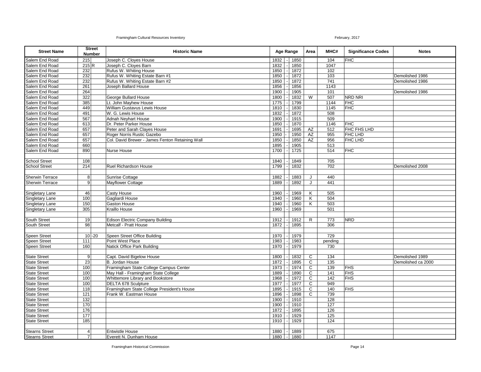| <b>Street Name</b>     |                  | <b>Street</b><br><b>Number</b> | <b>Historic Name</b>                              | Age Range        |  | Area | MHC#           | <b>Significance Codes</b> | <b>Notes</b>   |                    |
|------------------------|------------------|--------------------------------|---------------------------------------------------|------------------|--|------|----------------|---------------------------|----------------|--------------------|
| Salem End Road         | 215              |                                | Joseph C. Cloyes House                            | 1832             |  | 1850 |                | 104                       | <b>FHC</b>     |                    |
| Salem End Road         | 215 R            |                                | Joseph C. Cloyes Barn                             | 1832             |  | 1850 |                | 1047                      |                |                    |
| Salem End Road         | 232              |                                | Rufus W. Whiting House                            | 1850             |  | 1872 |                | 102                       |                |                    |
| Salem End Road         | 232              |                                | Rufus W. Whiting Estate Barn #1                   | 1850             |  | 1872 |                | 103                       |                | Demolished 1986    |
| Salem End Road         | 232              |                                | Rufus W. Whiting Estate Barn #2                   | 1850             |  | 1872 |                | $\overline{741}$          |                | Demolished 1986    |
| Salem End Road         | 261              |                                | Joseph Ballard House                              | 1856             |  | 1856 |                | 1143                      |                |                    |
| Salem End Road         | 264              |                                |                                                   | 1900             |  | 1905 |                | 101                       |                | Demolished 1986    |
| Salem End Road         | 322              |                                | George Bullard House                              | 1800             |  | 1832 | W              | 507                       | <b>NRD NRI</b> |                    |
| Salem End Road         | 385              |                                | Lt. John Mayhew House                             | 1775             |  | 1799 |                | 1144                      | <b>FHC</b>     |                    |
| Salem End Road         | 449              |                                | William Gustavus Lewis House                      | 1810             |  | 1830 |                | 1145                      | <b>FHC</b>     |                    |
| Salem End Road         | 491              |                                | W. G. Lewis House                                 | 1832             |  | 1872 |                | 508                       |                |                    |
| Salem End Road         | 567              |                                | Adnah Neyhart House                               | 1900             |  | 1915 |                | 509                       |                |                    |
| Salem End Road         | 613              |                                | Dr. Peter Parker House                            | 1850             |  | 1870 |                | 1146                      | <b>FHC</b>     |                    |
| Salem End Road         | 657              |                                | Peter and Sarah Clayes House                      | 1691             |  | 1695 | AZ             | 512                       | FHC FHS LHD    |                    |
| Salem End Road         | 657              |                                | Roger Norris Rustic Gazebo                        | 1950             |  | 1950 | AZ             | 955                       | FHC LHD        |                    |
| Salem End Road         | 657              |                                | Col. David Brewer - James Fenton Retaining Wall   | 1850             |  | 1850 | AZ             | 956                       | FHC LHD        |                    |
| Salem End Road         | 660              |                                |                                                   | 1895             |  | 1905 |                | 513                       |                |                    |
| Salem End Road         | 890              |                                | Nurse House                                       | 1700             |  | 1725 |                | 514                       | <b>FHC</b>     |                    |
|                        |                  |                                |                                                   |                  |  |      |                |                           |                |                    |
| <b>School Street</b>   | 108              |                                |                                                   | 1840             |  | 1849 |                | 705                       |                |                    |
| <b>School Street</b>   | 214              |                                | <b>Ruel Richardson House</b>                      | 1799             |  | 1832 |                | 702                       |                | Demolished 2008    |
|                        |                  |                                |                                                   |                  |  |      |                |                           |                |                    |
| <b>Sherwin Terrace</b> | 8 <sup>1</sup>   |                                | Sunrise Cottage                                   | 1882             |  | 1883 | J              | 440                       |                |                    |
| <b>Sherwin Terrace</b> | 9                |                                | <b>Mayflower Cottage</b>                          | 1889             |  | 1892 | J              | 441                       |                |                    |
|                        |                  |                                |                                                   |                  |  |      |                |                           |                |                    |
| Singletary Lane        | 46               |                                | Casty House                                       | 1960             |  | 1969 | K              | 505                       |                |                    |
| Singletary Lane        | 100              |                                | Gagliardi House                                   | 1940             |  | 1960 | K              | 504                       |                |                    |
| Singletary Lane        | 150              |                                | Gaston House                                      | 1940             |  | 1960 | Κ              | 503                       |                |                    |
| Singletary Lane        | 305              |                                | Kraillo House                                     | 1960             |  | 1969 |                | 501                       |                |                    |
|                        |                  |                                |                                                   |                  |  |      |                |                           |                |                    |
| South Street           | 19               |                                | <b>Edison Electric Company Building</b>           | 1912             |  | 1912 | R              | 773                       | <b>NRD</b>     |                    |
| South Street           | 98               |                                | Metcalf - Pratt House                             | 1872             |  | 1895 |                | 306                       |                |                    |
|                        |                  |                                |                                                   |                  |  |      |                |                           |                |                    |
| Speen Street           |                  | $10 - 20$                      | Speen Street Office Building                      | 1970             |  | 1979 |                | 729                       |                |                    |
| Speen Street           | 111              |                                | Point West Place                                  | 1983             |  | 1983 |                | pending                   |                |                    |
| Speen Street           | 160              |                                | Natick Office Park Building                       | 1970             |  | 1979 |                | 730                       |                |                    |
|                        |                  |                                |                                                   |                  |  |      |                |                           |                |                    |
| <b>State Street</b>    | 9                |                                | Capt. David Bigelow House                         | 1800             |  | 1832 | $\overline{c}$ | 134                       |                | Demolished 1989    |
| <b>State Street</b>    | 23               |                                | B. Jordan House                                   | 1872             |  | 1895 | C              | $135$                     |                | Demolished ca 2000 |
| <b>State Street</b>    | 100              |                                | Framingham State College Campus Center            | 1973             |  | 1974 | $\mathsf{C}$   | 139                       | <b>FHS</b>     |                    |
| <b>State Street</b>    | 100              |                                | May Hall - Framingham State College               | 1889             |  | 1890 | C              | 141                       | <b>FHS</b>     |                    |
| <b>State Street</b>    | 100              |                                | Whittemore Library and Bookstore                  | 1968             |  | 1972 | $\mathsf{C}$   | 142                       | <b>FHS</b>     |                    |
| <b>State Street</b>    | 100              |                                | DELTA 678 Sculpture                               | 1977             |  | 1977 | C              | 949                       |                |                    |
| <b>State Street</b>    | 118              |                                | Framingham State College President's House        | 1895             |  | 1915 | C              | 140                       | <b>FHS</b>     |                    |
| <b>State Street</b>    | $\overline{121}$ |                                | Frank W. Eastman House                            | 1896             |  | 1898 | C              | 739                       |                |                    |
| <b>State Street</b>    | 132              |                                |                                                   | 1900             |  | 1910 |                | 128                       |                |                    |
| <b>State Street</b>    | 170              |                                |                                                   | 1900             |  | 1910 |                | 127                       |                |                    |
| <b>State Street</b>    | 176              |                                |                                                   | 1872             |  | 1895 |                | 126                       |                |                    |
| <b>State Street</b>    | 177              |                                |                                                   | 1910             |  | 1929 |                | 125                       |                |                    |
| <b>State Street</b>    | 185              |                                |                                                   | 1910             |  | 1929 |                | 124                       |                |                    |
| <b>Stearns Street</b>  | 4                |                                |                                                   | 1880             |  | 1889 |                | 675                       |                |                    |
| <b>Stearns Street</b>  | $\overline{7}$   |                                | <b>Entwistle House</b><br>Everett N. Dunham House | $1880$ $\vert$ - |  | 1880 |                | 1147                      |                |                    |
|                        |                  |                                |                                                   |                  |  |      |                |                           |                |                    |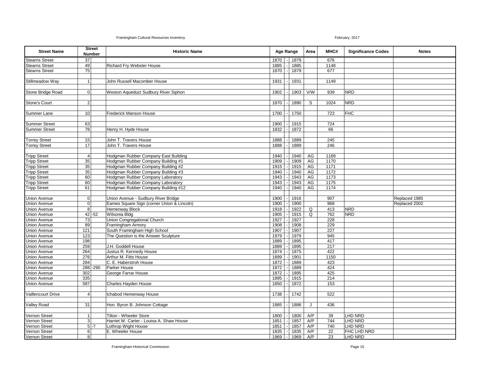| <b>Street Name</b>    |                 | <b>Street</b><br><b>Number</b> | <b>Historic Name</b>                       |      | Age Range |      |     |                  |                |               | Area | MHC# | <b>Significance Codes</b> | <b>Notes</b> |
|-----------------------|-----------------|--------------------------------|--------------------------------------------|------|-----------|------|-----|------------------|----------------|---------------|------|------|---------------------------|--------------|
| <b>Stearns Street</b> | 37              |                                |                                            | 1870 |           | 1879 |     | 676              |                |               |      |      |                           |              |
| <b>Stearns Street</b> | 49              |                                | Richard Fry Webster House                  | 1885 |           | 1885 |     | 1148             |                |               |      |      |                           |              |
| <b>Stearns Street</b> | 75              |                                |                                            | 1870 |           | 1879 |     | 677              |                |               |      |      |                           |              |
|                       |                 |                                |                                            |      |           |      |     |                  |                |               |      |      |                           |              |
| Stillmeadow Way       | 1               |                                | John Russell Macomber House                | 1931 |           | 1931 |     | 1149             |                |               |      |      |                           |              |
|                       |                 |                                |                                            |      |           |      |     |                  |                |               |      |      |                           |              |
| Stone Bridge Road     | $\mathbf 0$     |                                | Weston Aqueduct Sudbury River Siphon       | 1902 |           | 1903 | V/W | 939              | <b>NRD</b>     |               |      |      |                           |              |
|                       |                 |                                |                                            |      |           |      |     |                  |                |               |      |      |                           |              |
| Stone's Court         | $\overline{2}$  |                                |                                            | 1870 |           | 1890 | S   | 1024             | <b>NRD</b>     |               |      |      |                           |              |
|                       |                 |                                |                                            |      |           |      |     |                  |                |               |      |      |                           |              |
| Summer Lane           | 10              |                                | Frederick Manson House                     | 1700 |           | 1750 |     | 723              | <b>FHC</b>     |               |      |      |                           |              |
|                       |                 |                                |                                            |      |           |      |     |                  |                |               |      |      |                           |              |
| <b>Summer Street</b>  | 63              |                                |                                            | 1900 |           | 1915 |     | 724              |                |               |      |      |                           |              |
| <b>Summer Street</b>  | 78              |                                | Henry H. Hyde House                        | 1832 |           | 1872 |     | 66               |                |               |      |      |                           |              |
|                       |                 |                                |                                            |      |           |      |     |                  |                |               |      |      |                           |              |
| <b>Torrey Street</b>  | 15              |                                | John T. Travers House                      | 1888 |           | 1889 |     | 245              |                |               |      |      |                           |              |
| <b>Torrey Street</b>  | 17              |                                | John T. Travers House                      | 1888 |           | 1889 |     | 246              |                |               |      |      |                           |              |
|                       |                 |                                |                                            |      |           |      |     |                  |                |               |      |      |                           |              |
| <b>Tripp Street</b>   | 4               |                                | Hodgman Rubber Company East Building       | 1940 |           | 1940 | AG  | 1169             |                |               |      |      |                           |              |
| <b>Tripp Street</b>   | $\overline{35}$ |                                | Hodgman Rubber Company Building #1         | 1909 |           | 1909 | AG  | 1170             |                |               |      |      |                           |              |
| <b>Tripp Street</b>   | 35              |                                | Hodgman Rubber Company Building #2         | 1915 |           | 1915 | AG  | 1171             |                |               |      |      |                           |              |
| <b>Tripp Street</b>   | 35              |                                | Hodgman Rubber Company Building #3         | 1940 |           | 1940 | AG  | $\frac{1172}{ }$ |                |               |      |      |                           |              |
| <b>Tripp Street</b>   | 60              |                                | Hodgman Rubber Company Laboratory          | 1943 |           | 1943 | AG  | 1173             |                |               |      |      |                           |              |
| <b>Tripp Street</b>   | 60              |                                | Hodgman Rubber Company Laboratory          | 1943 |           | 1943 | AG  | 1175             |                |               |      |      |                           |              |
| <b>Tripp Street</b>   | 61              |                                | Hodgman Rubber Company Building #12        | 1940 |           | 1940 | AG  | 1174             |                |               |      |      |                           |              |
|                       |                 |                                |                                            |      |           |      |     |                  |                |               |      |      |                           |              |
| <b>Union Avenue</b>   | $\mathbf 0$     |                                | Union Avenue - Sudbury River Bridge        | 1900 |           | 1916 |     | 907              |                | Replaced 1985 |      |      |                           |              |
| <b>Union Avenue</b>   | $\overline{0}$  |                                | Eames Square Sign (corner Union & Lincoln) | 1900 |           | 1900 |     | 968              |                | Replaced 2002 |      |      |                           |              |
| <b>Union Avenue</b>   | $\overline{8}$  |                                | Hemenway Block                             | 1918 |           | 1922 | Q   | 413              | <b>NRD</b>     |               |      |      |                           |              |
| <b>Union Avenue</b>   |                 | $42 - 52$                      | Wilsonia Bldg                              | 1905 |           | 1915 | Q   | 762              | <b>NRD</b>     |               |      |      |                           |              |
| <b>Union Avenue</b>   | $\overline{73}$ |                                | Union Congregational Church                | 1927 |           | 1927 |     | 228              |                |               |      |      |                           |              |
| <b>Union Avenue</b>   | 89              |                                | Framingham Armory                          | 1908 |           | 1908 |     | 229              |                |               |      |      |                           |              |
| Union Avenue          | 121             |                                | South Framingham High School               | 1907 |           | 1907 |     | 227              |                |               |      |      |                           |              |
| <b>Union Avenue</b>   | 123             |                                | The Question is the Answer Sculpture       | 1979 |           | 1979 |     | 945              |                |               |      |      |                           |              |
| Jnion Avenue          | 198             |                                |                                            | 1889 |           | 1895 |     | 417              |                |               |      |      |                           |              |
| <b>Union Avenue</b>   | 259             |                                | J.H. Goddell House                         | 1889 |           | 1895 |     | 217              |                |               |      |      |                           |              |
| <b>Union Avenue</b>   | 264             |                                | Justus R. Kennedy House                    | 1874 |           | 1875 |     | 422              |                |               |      |      |                           |              |
| Jnion Avenue          | 276             |                                | Arthur M. Fitts House                      | 1899 |           | 1901 |     | 1150             |                |               |      |      |                           |              |
| <b>Union Avenue</b>   | 284             |                                | C. E. Haberstroh House                     | 1872 |           | 1889 |     | 423              |                |               |      |      |                           |              |
| <b>Union Avenue</b>   |                 | 288-290                        | Parker House                               | 1872 |           | 1889 |     | 424              |                |               |      |      |                           |              |
| <b>Union Avenue</b>   | 302             |                                | George Farrar House                        | 1872 |           | 1895 |     | 425              |                |               |      |      |                           |              |
| <b>Union Avenue</b>   | 335             |                                |                                            | 1895 |           | 1915 |     | 214              |                |               |      |      |                           |              |
| <b>Union Avenue</b>   | 587             |                                | Charles Hayden House                       | 1850 |           | 1872 |     | 153              |                |               |      |      |                           |              |
|                       |                 |                                |                                            |      |           |      |     |                  |                |               |      |      |                           |              |
| Vaillencourt Drive    | 4               |                                | Ichabod Hemenway House                     | 1738 |           | 1742 |     | 522              |                |               |      |      |                           |              |
|                       |                 |                                |                                            |      |           |      |     |                  |                |               |      |      |                           |              |
| <b>Valley Road</b>    | 31              |                                | Hon. Byron B. Johnson Cottage              | 1885 |           | 1886 | J   | 436              |                |               |      |      |                           |              |
|                       |                 |                                |                                            |      |           |      |     |                  |                |               |      |      |                           |              |
| Vernon Street         | 1               |                                | Tilton - Wheeler Store                     | 1800 |           | 1800 | A/P | 39               | LHD NRD        |               |      |      |                           |              |
| Vernon Street         | 3               |                                | Harriet W. Carter - Louisa A. Shaw House   | 1851 |           | 1857 | A/P | 744              | <b>LHD NRD</b> |               |      |      |                           |              |
| Vernon Street         |                 | $5 - 7$                        | Lothrop Wight House                        | 1851 |           | 1857 | A/P | 740              | LHD NRD        |               |      |      |                           |              |
| Vernon Street         | 6               |                                | E. Wheeler House                           | 1835 |           | 1835 | A/P | 22               | FHC LHD NRD    |               |      |      |                           |              |
| Vernon Street         | 8               |                                |                                            | 1969 |           | 1969 | A/P | 23               | <b>LHD NRD</b> |               |      |      |                           |              |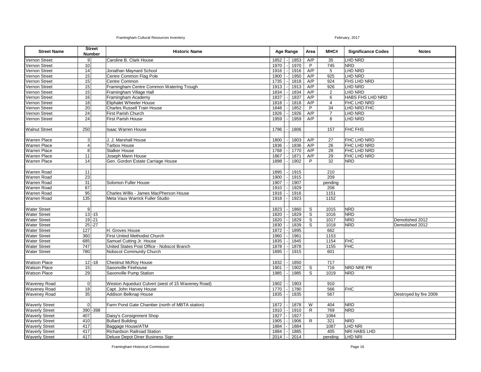| <b>Street Name</b>    |                 | <b>Street</b><br><b>Number</b> | <b>Historic Name</b>                              | Age Range   |      | Area           | MHC#           | <b>Significance Codes</b> | <b>Notes</b>           |
|-----------------------|-----------------|--------------------------------|---------------------------------------------------|-------------|------|----------------|----------------|---------------------------|------------------------|
| Vernon Street         | 9 <sup>1</sup>  |                                | Caroline B. Clark House                           | 1852        | 1853 | A/P            | 35             | <b>LHD NRD</b>            |                        |
| Vernon Street         | 10 <sup>1</sup> |                                |                                                   | 1970        | 1970 | $\overline{P}$ | 745            | <b>NRD</b>                |                        |
| Vernon Street         | 14              |                                | Jonathan Maynard School                           | 1916        | 1916 | A/P            | 5              | LHD NRD                   |                        |
| Vernon Street         | 15              |                                | Centre Common Flag Pole                           | 1900        | 1950 | A/P            | 925            | LHD NRD                   |                        |
| Vernon Street         | 15              |                                | Centre Common                                     | 1735        | 1818 | A/P            | 924            | FHS LHD NRD               |                        |
| Vernon Street         | 15              |                                | Framingham Centre Common Watering Trough          | 1913        | 1913 | A/P            | 926            | LHD NRD                   |                        |
| Vernon Street         | 15              |                                | Framingham Village Hall                           | 1834        | 1834 | A/P            | 2              | LHD NRD                   |                        |
| Vernon Street         | 16              |                                | Framingham Academy                                | 1837        | 1837 | A/P            | 6              | HABS FHS LHD NRD          |                        |
| Vernon Street         | $\overline{18}$ |                                | Eliphalet Wheeler House                           | 1818        | 1818 | A/P            | $\overline{4}$ | FHC LHD NRD               |                        |
| Vernon Street         | 20              |                                | <b>Charles Russell Train House</b>                | 1848        | 1852 | P              | 34             | LHD NRD FHC               |                        |
| Vernon Street         | 24              |                                | First Parish Church                               | 1926        | 1926 | A/P            | $\overline{7}$ | <b>LHD NRD</b>            |                        |
| Vernon Street         | 24              |                                | First Parish House                                | 1959        | 1959 | A/P            | 8              | LHD NRD                   |                        |
|                       |                 |                                |                                                   |             |      |                |                |                           |                        |
| <b>Walnut Street</b>  | 250             |                                | <b>Isaac Warren House</b>                         | 1796        | 1806 |                | 157            | FHC FHS                   |                        |
|                       |                 |                                |                                                   |             |      |                |                |                           |                        |
| <b>Warren Place</b>   | 3 <sup>1</sup>  |                                | J. J. Marshall House                              | 1800        | 1803 | A/P            | 27             | FHC LHD NRD               |                        |
| <b>Warren Place</b>   | $\vert$         |                                | <b>Tarbox House</b>                               | 1836        | 1836 | A/P            | 26             | FHC LHD NRD               |                        |
| Warren Place          | 8               |                                | <b>Stalker House</b>                              | 1768        | 1770 | A/P            | 28             | FHC LHD NRD               |                        |
| <b>Warren Place</b>   | 11              |                                | Joseph Mann House                                 | 1867        | 1871 | A/P            | 29             | FHC LHD NRD               |                        |
| <b>Warren Place</b>   | 14              |                                | Gen. Gordon Estate Carriage House                 | 1898        | 1902 | P              | 32             | <b>NRD</b>                |                        |
|                       |                 |                                |                                                   |             |      |                |                |                           |                        |
| Warren Road           | 11              |                                |                                                   | 1895        | 1915 |                | 210            |                           |                        |
| <b>Warren Road</b>    | $\overline{23}$ |                                |                                                   | 1900        | 1915 |                | 209            |                           |                        |
| <b>Warren Road</b>    | 31              |                                | Solomon Fuller House                              | 1907        | 1907 |                | pending        |                           |                        |
| <b>Warren Road</b>    | 67              |                                |                                                   | 1910        | 1929 |                | 208            |                           |                        |
| Warren Road           | $\overline{95}$ |                                | Charles Willis - James MacPherson House           | 1916        | 1916 |                | 1151           |                           |                        |
| <b>Warren Road</b>    | 135             |                                | Meta Vaux Warrick Fuller Studio                   | 1918        | 1923 |                | 1152           |                           |                        |
|                       |                 |                                |                                                   |             |      |                |                |                           |                        |
| <b>Water Street</b>   | 9               |                                |                                                   | 1823        | 1860 | $\mathbb S$    | 1015           | <b>NRD</b>                |                        |
| <b>Water Street</b>   |                 | $13 - 15$                      |                                                   | 1820        | 1829 | S              | 1016           | <b>NRD</b>                |                        |
| Water Street          |                 | $19 - 21$                      |                                                   | 1820        | 1829 | S              | 1017           | <b>NRD</b>                | Demolished 2012        |
| <b>Water Street</b>   |                 | $25 - 27$                      |                                                   | 1830        | 1839 | S              | 1018           | <b>NRD</b>                | Demolished 2012        |
| <b>Water Street</b>   | 127             |                                | H. Groves House                                   | 1872        | 1895 |                | 662            |                           |                        |
| <b>Water Street</b>   | 360             |                                | First United Methodist Church                     | 1960        | 1961 |                | 1153           |                           |                        |
| <b>Water Street</b>   | 685             |                                | Samuel Cutting Jr. House                          | 1835        | 1845 |                | 1154           | <b>FHC</b>                |                        |
| <b>Water Street</b>   | 747             |                                | United States Post Office - Nobscot Branch        | 1878        | 1878 |                | 1155           | <b>FHC</b>                |                        |
| <b>Water Street</b>   | 780             |                                | Nobscot Community Church                          | 1895        | 1915 |                | 601            |                           |                        |
|                       |                 |                                |                                                   |             |      |                |                |                           |                        |
| Watson Place          |                 | $12 - 18$                      | <b>Chestnut McRoy House</b>                       | 1832        | 1850 |                | 717            |                           |                        |
| <b>Watson Place</b>   | 15              |                                | Saxonville Firehouse                              | 1901        | 1902 | S              | 716            | NRD NRE PR                |                        |
| <b>Watson Place</b>   | 29              |                                | Saxonville Pump Station                           | 1985        | 1985 | S              | 1019           | <b>NRD</b>                |                        |
|                       |                 |                                |                                                   |             |      |                |                |                           |                        |
| <b>Waveney Road</b>   | οl              |                                | Weston Aqueduct Culvert (west of 15 Waveney Road) | 1902        | 1903 |                | 910            |                           |                        |
| <b>Waveney Road</b>   | 18              |                                | Capt. John Harvey House                           | 1770        | 1780 |                | 566            | <b>FHC</b>                |                        |
| Waveney Road          | 35              |                                | Addison Belknap House                             | 1835        | 1835 |                | 567            |                           | Destroyed by fire 2009 |
|                       |                 |                                |                                                   |             |      |                |                |                           |                        |
| <b>Waverly Street</b> | $\overline{0}$  |                                | Farm Pond Gate Chamber (north of MBTA station)    | 1872        | 1878 | W              | 404            | <b>NRD</b>                |                        |
| <b>Waverly Street</b> |                 | 390 - 398                      |                                                   | 1910        | 1910 | R              | 769            | <b>NRD</b>                |                        |
| <b>Waverly Street</b> | 407             |                                | Daisy's Consignment Shop                          | 1927        | 1927 |                | 1084           |                           |                        |
| <b>Waverly Street</b> | 410             |                                | <b>Bullard Building</b>                           | 1905        | 1906 | $\mathsf{R}$   | 321            | <b>NRD</b>                |                        |
| <b>Waverly Street</b> | 417             |                                | Baggage House/ATM                                 | 1884        | 1884 |                | 1087           | LHD NRI                   |                        |
| <b>Waverly Street</b> | 417             |                                | Richardson Railroad Station                       | 1884        | 1885 |                | 405            | NRI HABS LHD              |                        |
| <b>Waverly Street</b> | 417             |                                | Deluxe Depot Diner Business Sign                  | 2014 - 2014 |      |                | pendina        | <b>LHD NRI</b>            |                        |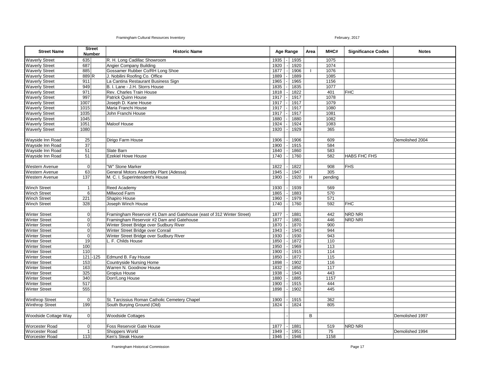| <b>Street Name</b>     |                | <b>Street</b><br><b>Number</b> | <b>Historic Name</b>                                                  | Age Range |      | Area | MHC#    | <b>Significance Codes</b> | <b>Notes</b>    |
|------------------------|----------------|--------------------------------|-----------------------------------------------------------------------|-----------|------|------|---------|---------------------------|-----------------|
| <b>Waverly Street</b>  | 635            |                                | R. H. Long Cadillac Showroom                                          | 1935      | 1935 |      | 1075    |                           |                 |
| <b>Waverly Street</b>  | 687            |                                | Angier Company Building                                               | 1920      | 1920 |      | 1074    |                           |                 |
| <b>Waverly Street</b>  | 885            |                                | Gossamer Rubber Co/RH Long Shoe                                       | 1877      | 1906 |      | 1076    |                           |                 |
| <b>Waverly Street</b>  | 889R           |                                | J. Nobilini Roofing Co. Office                                        | 1889      | 1889 |      | 1085    |                           |                 |
| <b>Waverly Street</b>  | 911            |                                | La Cantina Restaurant Business Sign                                   | 1965      | 1965 |      | 1156    |                           |                 |
| <b>Waverly Street</b>  | 949            |                                | B. I. Lane - J.H. Storrs House                                        | 1835      | 1835 |      | 1077    |                           |                 |
| <b>Waverly Street</b>  | 971            |                                | Rev. Charles Train House                                              | 1818      | 1822 |      | 401     | <b>FHC</b>                |                 |
| <b>Waverly Street</b>  | 997            |                                | <b>Patrick Quinn House</b>                                            | 1917      | 1917 |      | 1078    |                           |                 |
| <b>Waverly Street</b>  | 1007           |                                | Joseph D. Kane House                                                  | 1917      | 1917 |      | 1079    |                           |                 |
| <b>Waverly Street</b>  | 1015           |                                | Maria Franchi House                                                   | 1917      | 1917 |      | 1080    |                           |                 |
| <b>Waverly Street</b>  | 1035           |                                | John Franchi House                                                    | 1917      | 1917 |      | 1081    |                           |                 |
| <b>Waverly Street</b>  | 1045           |                                |                                                                       | 1880      | 1880 |      | 1082    |                           |                 |
| <b>Waverly Street</b>  | 1051           |                                | <b>Maloof House</b>                                                   | 1924      | 1924 |      | 1083    |                           |                 |
| <b>Waverly Street</b>  | 1080           |                                |                                                                       | 1920      | 1929 |      | 365     |                           |                 |
|                        |                |                                |                                                                       |           |      |      |         |                           |                 |
| Wayside Inn Road       | 25             |                                | Dirigo Farm House                                                     | 1906      | 1906 |      | 609     |                           | Demolished 2004 |
| Wayside Inn Road       | 37             |                                |                                                                       | 1900      | 1915 |      | 584     |                           |                 |
| Wayside Inn Road       | 51             |                                | Slate Barn                                                            | 1840      | 1860 |      | 583     |                           |                 |
| Wayside Inn Road       | 51             |                                | <b>Ezekiel Howe House</b>                                             | 1740      | 1760 |      | 582     | <b>HABS FHC FHS</b>       |                 |
|                        |                |                                |                                                                       |           |      |      |         |                           |                 |
| Western Avenue         | $\mathbf 0$    |                                | "W" Stone Marker                                                      | 1822      | 1822 |      | 908     | <b>FHS</b>                |                 |
| <b>Western Avenue</b>  | 63             |                                | General Motors Assembly Plant (Adessa)                                | 1945      | 1947 |      | 305     |                           |                 |
| Western Avenue         | 137            |                                | M. C. I. Superintendent's House                                       | 1900      | 1920 | H    | pending |                           |                 |
|                        |                |                                |                                                                       |           |      |      |         |                           |                 |
| <b>Winch Street</b>    |                |                                | Reed Academy                                                          | 1930      | 1939 |      | 569     |                           |                 |
| <b>Winch Street</b>    | 6              |                                | Millwood Farm                                                         | 1865      | 1883 |      | 570     |                           |                 |
| <b>Winch Street</b>    | 221            |                                | Shapiro House                                                         | 1960      | 1979 |      | 571     |                           |                 |
| <b>Winch Street</b>    | 328            |                                | Joseph Winch House                                                    | 1740      | 1760 |      | 592     | <b>FHC</b>                |                 |
|                        |                |                                |                                                                       |           |      |      |         |                           |                 |
| <b>Winter Street</b>   | 0              |                                | Framingham Reservoir #1 Dam and Gatehouse (east of 312 Winter Street) | 1877      | 1881 |      | 442     | NRD NRI                   |                 |
| <b>Winter Street</b>   | $\mathbf{O}$   |                                | Framingham Reservoir #2 Dam and Gatehouse                             | 1877      | 1881 |      | 446     | NRD NRI                   |                 |
| <b>Winter Street</b>   | $\mathbf 0$    |                                | Winter Street Bridge over Sudbury River                               | 1870      | 1870 |      | 900     |                           |                 |
| <b>Winter Street</b>   | $\overline{0}$ |                                | Winter Street Bridge over Conrail                                     | 1943      | 1943 |      | 944     |                           |                 |
| <b>Winter Street</b>   | $\mathbf{O}$   |                                | Winter Street Bridge over Sudbury River                               | 1930      | 1930 |      | 943     |                           |                 |
| <b>Winter Street</b>   | 19             |                                | L. F. Childs House                                                    | 1850      | 1872 |      | 110     |                           |                 |
| <b>Winter Street</b>   | 100            |                                |                                                                       | 1950      | 1969 |      | 113     |                           |                 |
| <b>Winter Street</b>   | 110            |                                |                                                                       | 1900      | 1915 |      | 114     |                           |                 |
| <b>Winter Street</b>   | 121            | $-125$                         | Edmund B. Fay House                                                   | 1850      | 1872 |      | 115     |                           |                 |
| <b>Winter Street</b>   | 153            |                                | <b>Countryside Nursing Home</b>                                       | 1898      | 1902 |      | 116     |                           |                 |
| <b>Winter Street</b>   | 163            |                                | Warren N. Goodnow House                                               | 1832      | 1850 |      | 117     |                           |                 |
| <b>Winter Street</b>   | 325            |                                | Gropius House                                                         | 1938      | 1943 |      | 443     |                           |                 |
| Winter Street          | 340            |                                | Dorr/Long House                                                       | 1880      | 1885 |      | 1157    |                           |                 |
| <b>Winter Street</b>   | 517            |                                |                                                                       | 1900      | 1915 |      | 444     |                           |                 |
| <b>Winter Street</b>   | 555            |                                |                                                                       | 1898      | 1902 |      | 445     |                           |                 |
|                        |                |                                |                                                                       |           |      |      |         |                           |                 |
| <b>Winthrop Street</b> | $\mathbf 0$    |                                | St. Tarcissius Roman Catholic Cemetery Chapel                         | 1900      | 1915 |      | 362     |                           |                 |
| <b>Winthrop Street</b> | 199            |                                | South Burying Ground (Old)                                            | 1824      | 1824 |      | 805     |                           |                 |
|                        |                |                                |                                                                       |           |      |      |         |                           |                 |
| Woodside Cottage Way   | $\mathbf 0$    |                                | <b>Woodside Cottages</b>                                              |           |      | B    |         |                           | Demolished 1997 |
|                        |                |                                |                                                                       |           |      |      |         |                           |                 |
| <b>Worcester Road</b>  | $\mathbf 0$    |                                | Foss Reservoir Gate House                                             | 1877      | 1881 |      | 519     | NRD NRI                   |                 |
| <b>Worcester Road</b>  | $\overline{1}$ |                                | Shoppers World                                                        | 1949      | 1951 |      | 75      |                           | Demolished 1994 |
| Worcester Road         | 113            |                                | Ken's Steak House                                                     | 1946      | 1946 |      | 1158    |                           |                 |